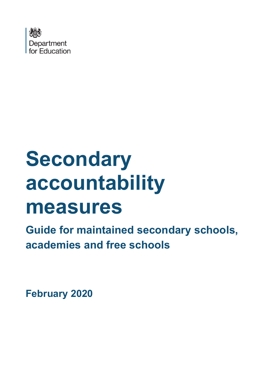

# **Secondary accountability measures**

**Guide for maintained secondary schools, academies and free schools**

**February 2020**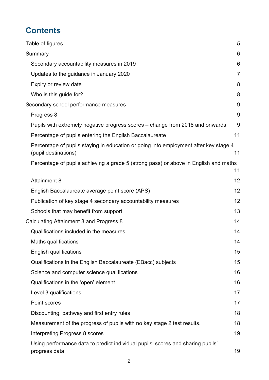# **Contents**

| Table of figures                                                                                             | 5  |
|--------------------------------------------------------------------------------------------------------------|----|
| Summary                                                                                                      | 6  |
| Secondary accountability measures in 2019                                                                    | 6  |
| Updates to the guidance in January 2020                                                                      | 7  |
| Expiry or review date                                                                                        | 8  |
| Who is this guide for?                                                                                       | 8  |
| Secondary school performance measures                                                                        | 9  |
| Progress 8                                                                                                   | 9  |
| Pupils with extremely negative progress scores – change from 2018 and onwards                                | 9  |
| Percentage of pupils entering the English Baccalaureate                                                      | 11 |
| Percentage of pupils staying in education or going into employment after key stage 4<br>(pupil destinations) | 11 |
| Percentage of pupils achieving a grade 5 (strong pass) or above in English and maths                         | 11 |
| <b>Attainment 8</b>                                                                                          | 12 |
| English Baccalaureate average point score (APS)                                                              | 12 |
| Publication of key stage 4 secondary accountability measures                                                 | 12 |
| Schools that may benefit from support                                                                        | 13 |
| Calculating Attainment 8 and Progress 8                                                                      | 14 |
| Qualifications included in the measures                                                                      | 14 |
| Maths qualifications                                                                                         | 14 |
| <b>English qualifications</b>                                                                                | 15 |
| Qualifications in the English Baccalaureate (EBacc) subjects                                                 | 15 |
| Science and computer science qualifications                                                                  | 16 |
| Qualifications in the 'open' element                                                                         | 16 |
| Level 3 qualifications                                                                                       | 17 |
| Point scores                                                                                                 | 17 |
| Discounting, pathway and first entry rules                                                                   | 18 |
| Measurement of the progress of pupils with no key stage 2 test results.                                      | 18 |
| Interpreting Progress 8 scores                                                                               | 19 |
| Using performance data to predict individual pupils' scores and sharing pupils'<br>progress data             | 19 |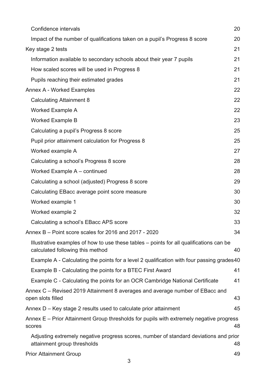| Confidence intervals                                                                                                        | 20 |
|-----------------------------------------------------------------------------------------------------------------------------|----|
| Impact of the number of qualifications taken on a pupil's Progress 8 score                                                  | 20 |
| Key stage 2 tests                                                                                                           | 21 |
| Information available to secondary schools about their year 7 pupils                                                        | 21 |
| How scaled scores will be used in Progress 8                                                                                | 21 |
| Pupils reaching their estimated grades                                                                                      | 21 |
| Annex A - Worked Examples                                                                                                   | 22 |
| <b>Calculating Attainment 8</b>                                                                                             | 22 |
| <b>Worked Example A</b>                                                                                                     | 22 |
| <b>Worked Example B</b>                                                                                                     | 23 |
| Calculating a pupil's Progress 8 score                                                                                      | 25 |
| Pupil prior attainment calculation for Progress 8                                                                           | 25 |
| Worked example A                                                                                                            | 27 |
| Calculating a school's Progress 8 score                                                                                     | 28 |
| Worked Example A - continued                                                                                                | 28 |
| Calculating a school (adjusted) Progress 8 score                                                                            | 29 |
| Calculating EBacc average point score measure                                                                               | 30 |
| Worked example 1                                                                                                            | 30 |
| Worked example 2                                                                                                            | 32 |
| Calculating a school's EBacc APS score                                                                                      | 33 |
| Annex B – Point score scales for 2016 and 2017 - 2020                                                                       | 34 |
| Illustrative examples of how to use these tables – points for all qualifications can be<br>calculated following this method | 40 |
| Example A - Calculating the points for a level 2 qualification with four passing grades 40                                  |    |
| Example B - Calculating the points for a BTEC First Award                                                                   | 41 |
| Example C - Calculating the points for an OCR Cambridge National Certificate                                                | 41 |
| Annex C – Revised 2019 Attainment 8 averages and average number of EBacc and<br>open slots filled                           | 43 |
| Annex D – Key stage 2 results used to calculate prior attainment                                                            | 45 |
| Annex E – Prior Attainment Group thresholds for pupils with extremely negative progress<br>scores                           | 48 |
| Adjusting extremely negative progress scores, number of standard deviations and prior<br>attainment group thresholds        | 48 |
| <b>Prior Attainment Group</b>                                                                                               | 49 |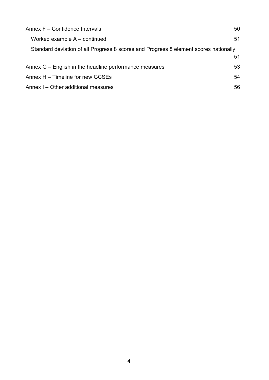| Annex F – Confidence Intervals                                                       | 50 |
|--------------------------------------------------------------------------------------|----|
| Worked example $A$ – continued                                                       | 51 |
| Standard deviation of all Progress 8 scores and Progress 8 element scores nationally |    |
|                                                                                      | 51 |
| Annex G – English in the headline performance measures                               | 53 |
| Annex H – Timeline for new GCSEs                                                     | 54 |
| Annex I – Other additional measures                                                  | 56 |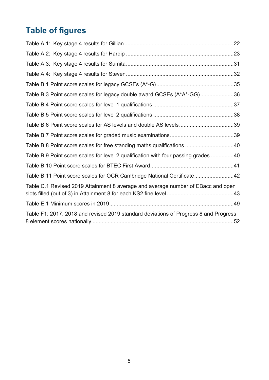# <span id="page-4-0"></span>**Table of figures**

| Table B.3 Point score scales for legacy double award GCSEs (A*A*-GG)36               |  |
|--------------------------------------------------------------------------------------|--|
|                                                                                      |  |
|                                                                                      |  |
|                                                                                      |  |
|                                                                                      |  |
| Table B.8 Point score scales for free standing maths qualifications 40               |  |
| Table B.9 Point score scales for level 2 qualification with four passing grades 40   |  |
|                                                                                      |  |
| Table B.11 Point score scales for OCR Cambridge National Certificate42               |  |
| Table C.1 Revised 2019 Attainment 8 average and average number of EBacc and open     |  |
|                                                                                      |  |
| Table F1: 2017, 2018 and revised 2019 standard deviations of Progress 8 and Progress |  |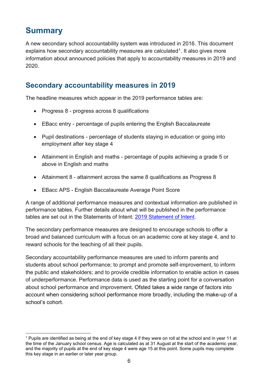# <span id="page-5-0"></span>**Summary**

A new secondary school accountability system was introduced in 2016. This document explains how secondary accountability measures are calculated<sup>1</sup>. It also gives more information about announced policies that apply to accountability measures in 2019 and 2020.

## <span id="page-5-1"></span>**Secondary accountability measures in 2019**

The headline measures which appear in the 2019 performance tables are:

- Progress 8 progress across 8 qualifications
- EBacc entry percentage of pupils entering the English Baccalaureate
- Pupil destinations percentage of students staying in education or going into employment after key stage 4
- Attainment in English and maths percentage of pupils achieving a grade 5 or above in English and maths
- Attainment 8 attainment across the same 8 qualifications as Progress 8
- EBacc APS English Baccalaureate Average Point Score

A range of additional performance measures and contextual information are published in performance tables. Further details about what will be published in the performance tables are set out in the Statements of Intent: [2019 Statement of Intent.](https://www.gov.uk/government/publications/school-and-college-performance-tables-statements-of-intent)

The secondary performance measures are designed to encourage schools to offer a broad and balanced curriculum with a focus on an academic core at key stage 4, and to reward schools for the teaching of all their pupils.

Secondary accountability performance measures are used to inform parents and students about school performance; to prompt and promote self-improvement, to inform the public and stakeholders; and to provide credible information to enable action in cases of underperformance. Performance data is used as the starting point for a conversation about school performance and improvement. Ofsted takes a wide range of factors into account when considering school performance more broadly, including the make-up of a school's cohort.

<span id="page-5-2"></span><sup>1</sup> Pupils are identified as being at the end of key stage 4 if they were on roll at the school and in year 11 at the time of the January school census. Age is calculated as at 31 August at the start of the academic year, and the majority of pupils at the end of key stage 4 were age 15 at this point. Some pupils may complete this key stage in an earlier or later year group.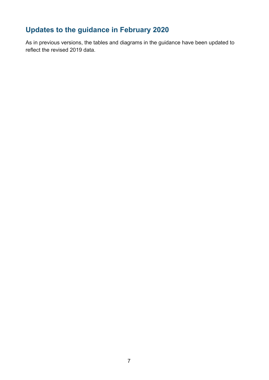## <span id="page-6-0"></span>**Updates to the guidance in February 2020**

As in previous versions, the tables and diagrams in the guidance have been updated to reflect the revised 2019 data.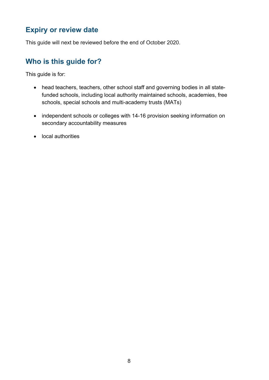## <span id="page-7-0"></span>**Expiry or review date**

This guide will next be reviewed before the end of October 2020.

## <span id="page-7-1"></span>**Who is this guide for?**

This guide is for:

- head teachers, teachers, other school staff and governing bodies in all statefunded schools, including local authority maintained schools, academies, free schools, special schools and multi-academy trusts (MATs)
- independent schools or colleges with 14-16 provision seeking information on secondary accountability measures
- local authorities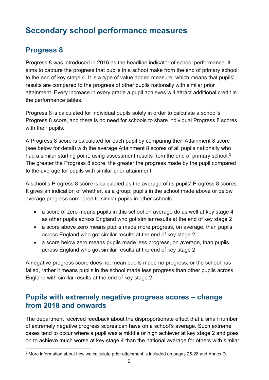# <span id="page-8-0"></span>**Secondary school performance measures**

## <span id="page-8-1"></span>**Progress 8**

Progress 8 was introduced in 2016 as the headline indicator of school performance. It aims to capture the progress that pupils in a school make from the end of primary school to the end of key stage 4. It is a type of value added measure, which means that pupils' results are compared to the progress of other pupils nationally with similar prior attainment. Every increase in every grade a pupil achieves will attract additional credit in the performance tables.

Progress 8 is calculated for individual pupils solely in order to calculate a school's Progress 8 score, and there is no need for schools to share individual Progress 8 scores with their pupils.

A Progress 8 score is calculated for each pupil by comparing their Attainment 8 score (see below for detail) with the average Attainment 8 scores of all pupils nationally who had a similar starting point, using assessment results from the end of primary school.<sup>[2](#page-8-3)</sup> The greater the Progress 8 score, the greater the progress made by the pupil compared to the average for pupils with similar prior attainment.

A school's Progress 8 score is calculated as the average of its pupils' Progress 8 scores. It gives an indication of whether, as a group, pupils in the school made above or below average progress compared to similar pupils in other schools.

- a score of zero means pupils in this school on average do as well at key stage 4 as other pupils across England who got similar results at the end of key stage 2
- a score above zero means pupils made more progress, on average, than pupils across England who got similar results at the end of key stage 2
- a score below zero means pupils made less progress, on average, than pupils across England who got similar results at the end of key stage 2

A negative progress score does not mean pupils made no progress, or the school has failed, rather it means pupils in the school made less progress than other pupils across England with similar results at the end of key stage 2.

## <span id="page-8-2"></span>**Pupils with extremely negative progress scores – change from 2018 and onwards**

The department received feedback about the disproportionate effect that a small number of extremely negative progress scores can have on a school's average. Such extreme cases tend to occur where a pupil was a middle or high achiever at key stage 2 and goes on to achieve much worse at key stage 4 than the national average for others with similar

<span id="page-8-3"></span><sup>2</sup> More information about how we calculate prior attainment is included on pages 25-28 and Annex D.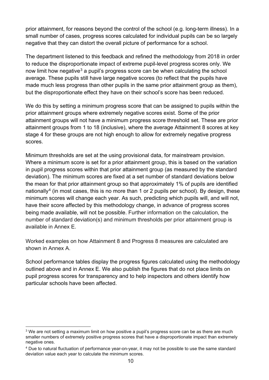prior attainment, for reasons beyond the control of the school (e.g. long-term illness). In a small number of cases, progress scores calculated for individual pupils can be so largely negative that they can distort the overall picture of performance for a school.

The department listened to this feedback and refined the methodology from 2018 in order to reduce the disproportionate impact of extreme pupil-level progress scores only. We now limit how negative<sup>[3](#page-9-0)</sup> a pupil's progress score can be when calculating the school average. These pupils still have large negative scores (to reflect that the pupils have made much less progress than other pupils in the same prior attainment group as them), but the disproportionate effect they have on their school's score has been reduced.

We do this by setting a minimum progress score that can be assigned to pupils within the prior attainment groups where extremely negative scores exist. Some of the prior attainment groups will not have a minimum progress score threshold set. These are prior attainment groups from 1 to 18 (inclusive), where the average Attainment 8 scores at key stage 4 for these groups are not high enough to allow for extremely negative progress scores.

Minimum thresholds are set at the using provisional data, for mainstream provision. Where a minimum score is set for a prior attainment group, this is based on the variation in pupil progress scores within that prior attainment group (as measured by the standard deviation). The minimum scores are fixed at a set number of standard deviations below the mean for that prior attainment group so that approximately 1% of pupils are identified nationally<sup>[4](#page-9-1)</sup> (in most cases, this is no more than 1 or 2 pupils per school). By design, these minimum scores will change each year. As such, predicting which pupils will, and will not, have their score affected by this methodology change, in advance of progress scores being made available, will not be possible. Further information on the calculation, the number of standard deviation(s) and minimum thresholds per prior attainment group is available in Annex E.

Worked examples on how Attainment 8 and Progress 8 measures are calculated are shown in Annex A.

School performance tables display the progress figures calculated using the methodology outlined above and in Annex E. We also publish the figures that do not place limits on pupil progress scores for transparency and to help inspectors and others identify how particular schools have been affected.

<span id="page-9-0"></span><sup>&</sup>lt;sup>3</sup> We are not setting a maximum limit on how positive a pupil's progress score can be as there are much smaller numbers of extremely positive progress scores that have a disproportionate impact than extremely negative ones.

<span id="page-9-1"></span><sup>4</sup> Due to natural fluctuation of performance year-on-year, it may not be possible to use the same standard deviation value each year to calculate the minimum scores.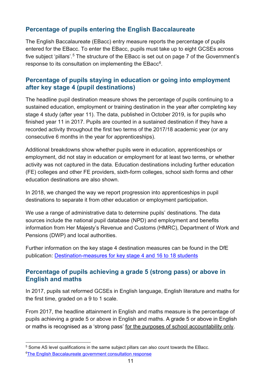#### <span id="page-10-0"></span>**Percentage of pupils entering the English Baccalaureate**

The English Baccalaureate (EBacc) entry measure reports the percentage of pupils entered for the EBacc. To enter the EBacc, pupils must take up to eight GCSEs across five subject 'pillars'.<sup>[5](#page-10-3)</sup> The structure of the EBacc is set out on page 7 of the Government's response to its consultation on implementing the EBacc<sup>6</sup>.

#### <span id="page-10-1"></span>**Percentage of pupils staying in education or going into employment after key stage 4 (pupil destinations)**

The headline pupil destination measure shows the percentage of pupils continuing to a sustained education, employment or training destination in the year after completing key stage 4 study (after year 11). The data, published in October 2019, is for pupils who finished year 11 in 2017. Pupils are counted in a sustained destination if they have a recorded activity throughout the first two terms of the 2017/18 academic year (or any consecutive 6 months in the year for apprenticeships).

Additional breakdowns show whether pupils were in education, apprenticeships or employment, did not stay in education or employment for at least two terms, or whether activity was not captured in the data. Education destinations including further education (FE) colleges and other FE providers, sixth-form colleges, school sixth forms and other education destinations are also shown.

In 2018, we changed the way we report progression into apprenticeships in pupil destinations to separate it from other education or employment participation.

We use a range of administrative data to determine pupils' destinations. The data sources include the national pupil database (NPD) and employment and benefits information from Her Majesty's Revenue and Customs (HMRC), Department of Work and Pensions (DWP) and local authorities.

Further information on the key stage 4 destination measures can be found in the DfE publication: [Destination-measures for key stage 4 and 16 to 18 students](https://www.gov.uk/government/publications/destination-measures-for-key-stage-4-and-16-to-18-students)

#### <span id="page-10-2"></span>**Percentage of pupils achieving a grade 5 (strong pass) or above in English and maths**

In 2017, pupils sat reformed GCSEs in English language, English literature and maths for the first time, graded on a 9 to 1 scale.

From 2017, the headline attainment in English and maths measure is the percentage of pupils achieving a grade 5 or above in English and maths. A grade 5 or above in English or maths is recognised as a 'strong pass' for the purposes of school accountability only.

<span id="page-10-4"></span><span id="page-10-3"></span><sup>5</sup> Some AS level qualifications in the same subject pillars can also count towards the EBacc. [6The English Baccalaureate government consultation response](https://www.gov.uk/government/uploads/system/uploads/attachment_data/file/630713/Implementing_the_English_Baccalaureate_-_Government_consultation_response.pdf)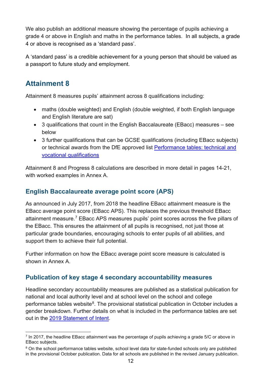We also publish an additional measure showing the percentage of pupils achieving a grade 4 or above in English and maths in the performance tables. In all subjects, a grade 4 or above is recognised as a 'standard pass'.

A 'standard pass' is a credible achievement for a young person that should be valued as a passport to future study and employment.

## <span id="page-11-0"></span>**Attainment 8**

Attainment 8 measures pupils' attainment across 8 qualifications including:

- maths (double weighted) and English (double weighted, if both English language and English literature are sat)
- 3 qualifications that count in the English Baccalaureate (EBacc) measures see below
- 3 further qualifications that can be GCSE qualifications (including EBacc subjects) or technical awards from the DfE approved list [Performance tables: technical and](http://www.gov.uk/government/collections/performance-tables-technical-and-vocational-qualifications)  [vocational qualifications](http://www.gov.uk/government/collections/performance-tables-technical-and-vocational-qualifications)

Attainment 8 and Progress 8 calculations are described in more detail in pages 14-21, with worked examples in Annex A.

#### <span id="page-11-1"></span>**English Baccalaureate average point score (APS)**

As announced in July 2017, from 2018 the headline EBacc attainment measure is the EBacc average point score (EBacc APS). This replaces the previous threshold EBacc attainment measure.[7](#page-11-3) EBacc APS measures pupils' point scores across the five pillars of the EBacc. This ensures the attainment of all pupils is recognised, not just those at particular grade boundaries, encouraging schools to enter pupils of all abilities, and support them to achieve their full potential.

Further information on how the EBacc average point score measure is calculated is shown in Annex A.

#### <span id="page-11-2"></span>**Publication of key stage 4 secondary accountability measures**

Headline secondary accountability measures are published as a statistical publication for national and local authority level and at school level on the school and college performance tables website $8$ . The provisional statistical publication in October includes a gender breakdown. Further details on what is included in the performance tables are set out in the [2019 Statement of Intent.](https://www.gov.uk/government/publications/school-and-college-performance-tables-statements-of-intent)

<span id="page-11-3"></span> $\frac{7}{1}$  In 2017, the headline EBacc attainment was the percentage of pupils achieving a grade 5/C or above in EBacc subjects.

<span id="page-11-4"></span><sup>&</sup>lt;sup>8</sup> On the school performance tables website, school level data for state-funded schools only are published in the provisional October publication. Data for all schools are published in the revised January publication.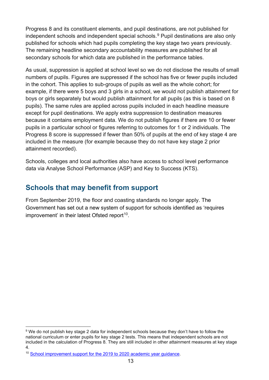Progress 8 and its constituent elements, and pupil destinations, are not published for independent schools and independent special schools.<sup>[9](#page-12-1)</sup> Pupil destinations are also only published for schools which had pupils completing the key stage two years previously. The remaining headline secondary accountability measures are published for all secondary schools for which data are published in the performance tables.

As usual, suppression is applied at school level so we do not disclose the results of small numbers of pupils. Figures are suppressed if the school has five or fewer pupils included in the cohort. This applies to sub-groups of pupils as well as the whole cohort; for example, if there were 5 boys and 3 girls in a school, we would not publish attainment for boys or girls separately but would publish attainment for all pupils (as this is based on 8 pupils). The same rules are applied across pupils included in each headline measure except for pupil destinations. We apply extra suppression to destination measures because it contains employment data. We do not publish figures if there are 10 or fewer pupils in a particular school or figures referring to outcomes for 1 or 2 individuals. The Progress 8 score is suppressed if fewer than 50% of pupils at the end of key stage 4 are included in the measure (for example because they do not have key stage 2 prior attainment recorded).

Schools, colleges and local authorities also have access to school level performance data via Analyse School Performance (ASP) and Key to Success (KTS).

## <span id="page-12-0"></span>**Schools that may benefit from support**

From September 2019, the floor and coasting standards no longer apply. The Government has set out a new system of support for schools identified as 'requires improvement' in their latest Ofsted report<sup>10</sup>.

<span id="page-12-1"></span><sup>9</sup> We do not publish key stage 2 data for independent schools because they don't have to follow the national curriculum or enter pupils for key stage 2 tests. This means that independent schools are not included in the calculation of Progress 8. They are still included in other attainment measures at key stage 4.

<span id="page-12-2"></span><sup>&</sup>lt;sup>10</sup> School improvement support for the 2019 to 2020 academic year quidance.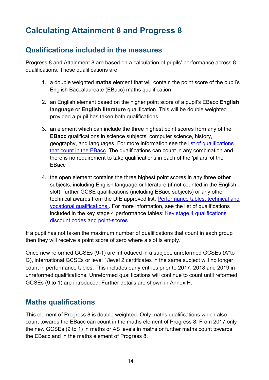# <span id="page-13-0"></span>**Calculating Attainment 8 and Progress 8**

## <span id="page-13-1"></span>**Qualifications included in the measures**

Progress 8 and Attainment 8 are based on a calculation of pupils' performance across 8 qualifications. These qualifications are:

- 1. a double weighted **maths** element that will contain the point score of the pupil's English Baccalaureate (EBacc) maths qualification
- 2. an English element based on the higher point score of a pupil's EBacc **English language** or **English literature** qualification. This will be double weighted provided a pupil has taken both qualifications
- 3. an element which can include the three highest point scores from any of the **EBacc** qualifications in science subjects, computer science, history, geography, and languages. For more information see the [list of qualifications](https://www.gov.uk/government/publications/english-baccalaureate-eligible-qualifications)  [that count in the EBacc.](https://www.gov.uk/government/publications/english-baccalaureate-eligible-qualifications) The qualifications can count in any combination and there is no requirement to take qualifications in each of the 'pillars' of the **EBacc**
- 4. the open element contains the three highest point scores in any three **other** subjects, including English language or literature (if not counted in the English slot), further GCSE qualifications (including EBacc subjects) or any other technical awards from the DfE approved list: [Performance tables: technical and](http://www.gov.uk/government/collections/performance-tables-technical-and-vocational-qualifications)  [vocational qualifications .](http://www.gov.uk/government/collections/performance-tables-technical-and-vocational-qualifications) For more information, see the list of qualifications included in the key stage 4 performance tables: [Key stage 4 qualifications](https://www.gov.uk/government/publications/key-stage-4-qualifications-discount-codes-and-point-scores)  [discount codes and point-scores](https://www.gov.uk/government/publications/key-stage-4-qualifications-discount-codes-and-point-scores)

If a pupil has not taken the maximum number of qualifications that count in each group then they will receive a point score of zero where a slot is empty.

Once new reformed GCSEs (9-1) are introduced in a subject, unreformed GCSEs (A\*to G), international GCSEs or level 1/level 2 certificates in the same subject will no longer count in performance tables. This includes early entries prior to 2017, 2018 and 2019 in unreformed qualifications. Unreformed qualifications will continue to count until reformed GCSEs (9 to 1) are introduced. Further details are shown in Annex H.

#### <span id="page-13-2"></span>**Maths qualifications**

This element of Progress 8 is double weighted. Only maths qualifications which also count towards the EBacc can count in the maths element of Progress 8. From 2017 only the new GCSEs (9 to 1) in maths or AS levels in maths or further maths count towards the EBacc and in the maths element of Progress 8.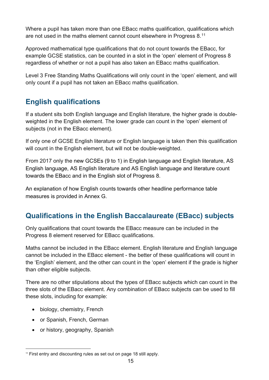Where a pupil has taken more than one EBacc maths qualification, qualifications which are not used in the maths element cannot count elsewhere in Progress 8. $^{\mathsf{11}}$  $^{\mathsf{11}}$  $^{\mathsf{11}}$ 

Approved mathematical type qualifications that do not count towards the EBacc, for example GCSE statistics, can be counted in a slot in the 'open' element of Progress 8 regardless of whether or not a pupil has also taken an EBacc maths qualification.

Level 3 Free Standing Maths Qualifications will only count in the 'open' element, and will only count if a pupil has not taken an EBacc maths qualification.

## <span id="page-14-0"></span>**English qualifications**

If a student sits both English language and English literature, the higher grade is doubleweighted in the English element. The lower grade can count in the 'open' element of subjects (not in the EBacc element).

If only one of GCSE English literature or English language is taken then this qualification will count in the English element, but will not be double-weighted.

From 2017 only the new GCSEs (9 to 1) in English language and English literature, AS English language, AS English literature and AS English language and literature count towards the EBacc and in the English slot of Progress 8.

An explanation of how English counts towards other headline performance table measures is provided in Annex G.

## <span id="page-14-1"></span>**Qualifications in the English Baccalaureate (EBacc) subjects**

Only qualifications that count towards the EBacc measure can be included in the Progress 8 element reserved for EBacc qualifications.

Maths cannot be included in the EBacc element. English literature and English language cannot be included in the EBacc element - the better of these qualifications will count in the 'English' element, and the other can count in the 'open' element if the grade is higher than other eligible subjects.

There are no other stipulations about the types of EBacc subjects which can count in the three slots of the EBacc element. Any combination of EBacc subjects can be used to fill these slots, including for example:

- biology, chemistry, French
- or Spanish, French, German
- or history, geography, Spanish

<span id="page-14-2"></span><sup>11</sup> First entry and discounting rules as set out on page 18 still apply.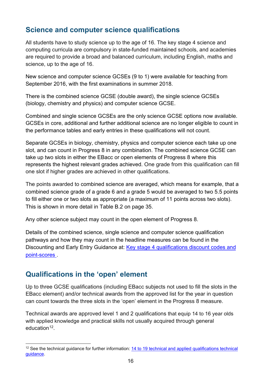## <span id="page-15-0"></span>**Science and computer science qualifications**

All students have to study science up to the age of 16. The key stage 4 science and computing curricula are compulsory in state-funded maintained schools, and academies are required to provide a broad and balanced curriculum, including English, maths and science, up to the age of 16.

New science and computer science GCSEs (9 to 1) were available for teaching from September 2016, with the first examinations in summer 2018.

There is the combined science GCSE (double award), the single science GCSEs (biology, chemistry and physics) and computer science GCSE.

Combined and single science GCSEs are the only science GCSE options now available. GCSEs in core, additional and further additional science are no longer eligible to count in the performance tables and early entries in these qualifications will not count.

Separate GCSEs in biology, chemistry, physics and computer science each take up one slot, and can count in Progress 8 in any combination. The combined science GCSE can take up two slots in either the EBacc or open elements of Progress 8 where this represents the highest relevant grades achieved. One grade from this qualification can fill one slot if higher grades are achieved in other qualifications.

The points awarded to combined science are averaged, which means for example, that a combined science grade of a grade 6 and a grade 5 would be averaged to two 5.5 points to fill either one or two slots as appropriate (a maximum of 11 points across two slots). This is shown in more detail in Table B.2 on page 35.

Any other science subject may count in the open element of Progress 8.

Details of the combined science, single science and computer science qualification pathways and how they may count in the headline measures can be found in the Discounting and Early Entry Guidance at: Key stage 4 qualifications discount codes and [point-scores .](https://www.gov.uk/government/publications/key-stage-4-qualifications-discount-codes-and-point-scores)

## <span id="page-15-1"></span>**Qualifications in the 'open' element**

Up to three GCSE qualifications (including EBacc subjects not used to fill the slots in the EBacc element) and/or technical awards from the approved list for the year in question can count towards the three slots in the 'open' element in the Progress 8 measure.

Technical awards are approved level 1 and 2 qualifications that equip 14 to 16 year olds with applied knowledge and practical skills not usually acquired through general education $12$ .

<span id="page-15-2"></span><sup>&</sup>lt;sup>12</sup> See the technical guidance for further information: 14 to 19 technical and applied qualifications technical [guidance.](https://www.gov.uk/government/publications/14-to-19-technical-and-applied-qualifications-technical-guidance)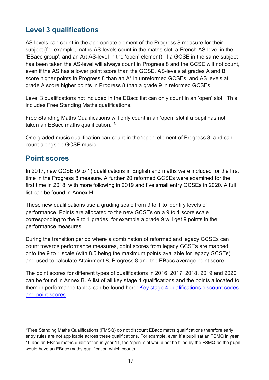## <span id="page-16-0"></span>**Level 3 qualifications**

AS levels can count in the appropriate element of the Progress 8 measure for their subject (for example, maths AS-levels count in the maths slot, a French AS-level in the 'EBacc group', and an Art AS-level in the 'open' element). If a GCSE in the same subject has been taken the AS-level will always count in Progress 8 and the GCSE will not count, even if the AS has a lower point score than the GCSE. AS-levels at grades A and B score higher points in Progress 8 than an A\* in unreformed GCSEs, and AS levels at grade A score higher points in Progress 8 than a grade 9 in reformed GCSEs.

Level 3 qualifications not included in the EBacc list can only count in an 'open' slot. This includes Free Standing Maths qualifications.

Free Standing Maths Qualifications will only count in an 'open' slot if a pupil has not taken an EBacc maths qualification.<sup>[13](#page-16-2)</sup>

One graded music qualification can count in the 'open' element of Progress 8, and can count alongside GCSE music.

#### <span id="page-16-1"></span>**Point scores**

In 2017, new GCSE (9 to 1) qualifications in English and maths were included for the first time in the Progress 8 measure. A further 20 reformed GCSEs were examined for the first time in 2018, with more following in 2019 and five small entry GCSEs in 2020. A full list can be found in Annex H.

These new qualifications use a grading scale from 9 to 1 to identify levels of performance. Points are allocated to the new GCSEs on a 9 to 1 score scale corresponding to the 9 to 1 grades, for example a grade 9 will get 9 points in the performance measures.

During the transition period where a combination of reformed and legacy GCSEs can count towards performance measures, point scores from legacy GCSEs are mapped onto the 9 to 1 scale (with 8.5 being the maximum points available for legacy GCSEs) and used to calculate Attainment 8, Progress 8 and the EBacc average point score.

The point scores for different types of qualifications in 2016, 2017, 2018, 2019 and 2020 can be found in Annex B. A list of all key stage 4 qualifications and the points allocated to them in performance tables can be found here: [Key stage 4 qualifications discount codes](https://www.gov.uk/government/publications/key-stage-4-qualifications-discount-codes-and-point-scores)  [and point-scores](https://www.gov.uk/government/publications/key-stage-4-qualifications-discount-codes-and-point-scores)

<span id="page-16-2"></span><sup>13</sup>Free Standing Maths Qualifications (FMSQ) do not discount EBacc maths qualifications therefore early entry rules are not applicable across these qualifications. For example, even if a pupil sat an FSMQ in year 10 and an EBacc maths qualification in year 11, the 'open' slot would not be filled by the FSMQ as the pupil would have an EBacc maths qualification which counts.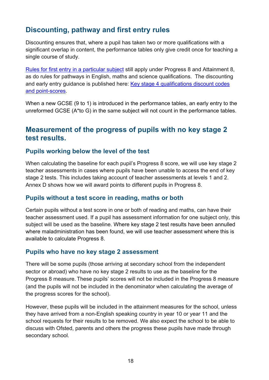## <span id="page-17-0"></span>**Discounting, pathway and first entry rules**

Discounting ensures that, where a pupil has taken two or more qualifications with a significant overlap in content, the performance tables only give credit once for teaching a single course of study.

[Rules for first entry in a particular subject](https://www.gov.uk/government/news/changes-to-early-entry-at-gcse) still apply under Progress 8 and Attainment 8, as do rules for pathways in English, maths and science qualifications. The discounting and early entry guidance is published here: Key stage 4 qualifications discount codes [and point-scores.](https://www.gov.uk/government/publications/key-stage-4-qualifications-discount-codes-and-point-scores)

When a new GCSE (9 to 1) is introduced in the performance tables, an early entry to the unreformed GCSE (A\*to G) in the same subject will not count in the performance tables.

#### <span id="page-17-1"></span>**Measurement of the progress of pupils with no key stage 2 test results.**

#### **Pupils working below the level of the test**

When calculating the baseline for each pupil's Progress 8 score, we will use key stage 2 teacher assessments in cases where pupils have been unable to access the end of key stage 2 tests. This includes taking account of teacher assessments at levels 1 and 2. Annex D shows how we will award points to different pupils in Progress 8.

#### **Pupils without a test score in reading, maths or both**

Certain pupils without a test score in one or both of reading and maths, can have their teacher assessment used. If a pupil has assessment information for one subject only, this subject will be used as the baseline. Where key stage 2 test results have been annulled where maladministration has been found, we will use teacher assessment where this is available to calculate Progress 8.

#### **Pupils who have no key stage 2 assessment**

There will be some pupils (those arriving at secondary school from the independent sector or abroad) who have no key stage 2 results to use as the baseline for the Progress 8 measure. These pupils' scores will not be included in the Progress 8 measure (and the pupils will not be included in the denominator when calculating the average of the progress scores for the school).

However, these pupils will be included in the attainment measures for the school, unless they have arrived from a non-English speaking country in year 10 or year 11 and the school requests for their results to be removed. We also expect the school to be able to discuss with Ofsted, parents and others the progress these pupils have made through secondary school.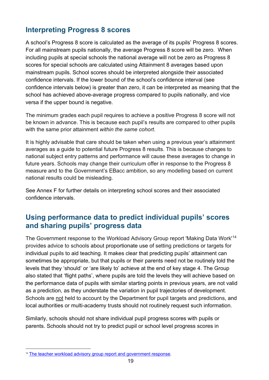## <span id="page-18-0"></span>**Interpreting Progress 8 scores**

A school's Progress 8 score is calculated as the average of its pupils' Progress 8 scores. For all mainstream pupils nationally, the average Progress 8 score will be zero. When including pupils at special schools the national average will not be zero as Progress 8 scores for special schools are calculated using Attainment 8 averages based upon mainstream pupils. School scores should be interpreted alongside their associated confidence intervals. If the lower bound of the school's confidence interval (see confidence intervals below) is greater than zero, it can be interpreted as meaning that the school has achieved above-average progress compared to pupils nationally, and vice versa if the upper bound is negative.

The minimum grades each pupil requires to achieve a positive Progress 8 score will not be known in advance. This is because each pupil's results are compared to other pupils with the same prior attainment *within the same cohort*.

It is highly advisable that care should be taken when using a previous year's attainment averages as a guide to potential future Progress 8 results. This is because changes to national subject entry patterns and performance will cause these averages to change in future years. Schools may change their curriculum offer in response to the Progress 8 measure and to the Government's EBacc ambition, so any modelling based on current national results could be misleading.

See Annex F for further details on interpreting school scores and their associated confidence intervals.

## <span id="page-18-1"></span>**Using performance data to predict individual pupils' scores and sharing pupils' progress data**

The Government response to the Workload Advisory Group report 'Making Data Work'[14](#page-18-2) provides advice to schools about proportionate use of setting predictions or targets for individual pupils to aid teaching. It makes clear that predicting pupils' attainment can sometimes be appropriate, but that pupils or their parents need not be routinely told the levels that they 'should' or 'are likely to' achieve at the end of key stage 4. The Group also stated that 'flight paths', where pupils are told the levels they will achieve based on the performance data of pupils with similar starting points in previous years, are not valid as a prediction, as they understate the variation in pupil trajectories of development. Schools are not held to account by the Department for pupil targets and predictions, and local authorities or multi-academy trusts should not routinely request such information.

Similarly, schools should not share individual pupil progress scores with pupils or parents. Schools should not try to predict pupil or school level progress scores in

<span id="page-18-2"></span><sup>&</sup>lt;sup>14</sup> [The teacher workload advisory group report and government response.](https://www.gov.uk/government/publications/teacher-workload-advisory-group-report-and-government-response)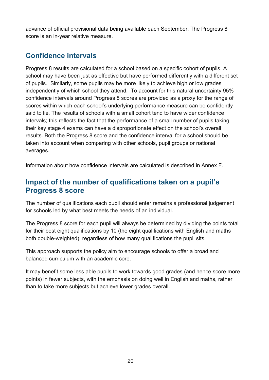advance of official provisional data being available each September. The Progress 8 score is an in-year relative measure.

## <span id="page-19-0"></span>**Confidence intervals**

Progress 8 results are calculated for a school based on a specific cohort of pupils. A school may have been just as effective but have performed differently with a different set of pupils. Similarly, some pupils may be more likely to achieve high or low grades independently of which school they attend. To account for this natural uncertainty 95% confidence intervals around Progress 8 scores are provided as a proxy for the range of scores within which each school's underlying performance measure can be confidently said to lie. The results of schools with a small cohort tend to have wider confidence intervals; this reflects the fact that the performance of a small number of pupils taking their key stage 4 exams can have a disproportionate effect on the school's overall results. Both the Progress 8 score and the confidence interval for a school should be taken into account when comparing with other schools, pupil groups or national averages.

<span id="page-19-1"></span>Information about how confidence intervals are calculated is described in Annex F.

## **Impact of the number of qualifications taken on a pupil's Progress 8 score**

The number of qualifications each pupil should enter remains a professional judgement for schools led by what best meets the needs of an individual.

The Progress 8 score for each pupil will always be determined by dividing the points total for their best eight qualifications by 10 (the eight qualifications with English and maths both double-weighted), regardless of how many qualifications the pupil sits.

This approach supports the policy aim to encourage schools to offer a broad and balanced curriculum with an academic core.

It may benefit some less able pupils to work towards good grades (and hence score more points) in fewer subjects, with the emphasis on doing well in English and maths, rather than to take more subjects but achieve lower grades overall.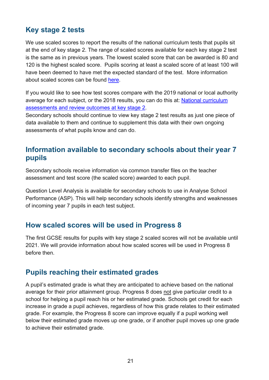## <span id="page-20-0"></span>**Key stage 2 tests**

We use scaled scores to report the results of the national curriculum tests that pupils sit at the end of key stage 2. The range of scaled scores available for each key stage 2 test is the same as in previous years. The lowest scaled score that can be awarded is 80 and 120 is the highest scaled score. Pupils scoring at least a scaled score of at least 100 will have been deemed to have met the expected standard of the test. More information about scaled scores can be found [here.](https://www.gov.uk/guidance/scaled-scores-at-key-stage-2)

If you would like to see how test scores compare with the 2019 national or local authority average for each subject, or the 2018 results, you can do this at: [National curriculum](https://www.gov.uk/government/collections/statistics-key-stage-2)  [assessments and review outcomes at key stage 2.](https://www.gov.uk/government/collections/statistics-key-stage-2)

Secondary schools should continue to view key stage 2 test results as just one piece of data available to them and continue to supplement this data with their own ongoing assessments of what pupils know and can do.

## <span id="page-20-1"></span>**Information available to secondary schools about their year 7 pupils**

Secondary schools receive information via common transfer files on the teacher assessment and test score (the scaled score) awarded to each pupil.

Question Level Analysis is available for secondary schools to use in Analyse School Performance (ASP). This will help secondary schools identify strengths and weaknesses of incoming year 7 pupils in each test subject.

#### <span id="page-20-2"></span>**How scaled scores will be used in Progress 8**

The first GCSE results for pupils with key stage 2 scaled scores will not be available until 2021. We will provide information about how scaled scores will be used in Progress 8 before then.

#### <span id="page-20-3"></span>**Pupils reaching their estimated grades**

A pupil's estimated grade is what they are anticipated to achieve based on the national average for their prior attainment group. Progress 8 does not give particular credit to a school for helping a pupil reach his or her estimated grade. Schools get credit for each increase in grade a pupil achieves, regardless of how this grade relates to their estimated grade. For example, the Progress 8 score can improve equally if a pupil working well below their estimated grade moves up one grade, or if another pupil moves up one grade to achieve their estimated grade.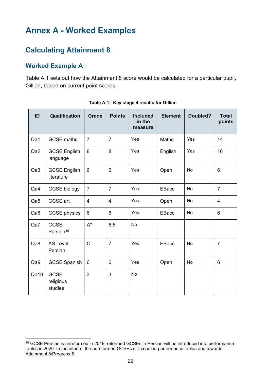# <span id="page-21-0"></span>**Annex A - Worked Examples**

## <span id="page-21-1"></span>**Calculating Attainment 8**

#### <span id="page-21-2"></span>**Worked Example A**

Table A.1 sets out how the Attainment 8 score would be calculated for a particular pupil, Gillian, based on current point scores.

<span id="page-21-3"></span>

| ID              | Qualification                        | <b>Grade</b>   | <b>Points</b>  | <b>Included</b><br>in the<br>measure | <b>Element</b> | Doubled?  | <b>Total</b><br>points |
|-----------------|--------------------------------------|----------------|----------------|--------------------------------------|----------------|-----------|------------------------|
| Qa1             | <b>GCSE</b> maths                    | $\overline{7}$ | $\overline{7}$ | Yes                                  | Maths          | Yes       | 14                     |
| Qa2             | <b>GCSE English</b><br>language      | 8              | 8              | Yes                                  | English        | Yes       | 16                     |
| Qa3             | <b>GCSE English</b><br>literature    | 6              | 6              | Yes                                  | Open           | No        | 6                      |
| Qa4             | <b>GCSE biology</b>                  | $\overline{7}$ | $\overline{7}$ | Yes                                  | <b>EBacc</b>   | No        | $\overline{7}$         |
| Qa5             | GCSE art                             | $\overline{4}$ | $\overline{4}$ | Yes                                  | Open           | No        | $\overline{4}$         |
| Qa <sub>6</sub> | <b>GCSE</b> physics                  | 6              | 6              | Yes                                  | <b>EBacc</b>   | <b>No</b> | 6                      |
| Qa7             | <b>GCSE</b><br>Persian <sup>15</sup> | $A^*$          | 8.5            | <b>No</b>                            |                |           |                        |
| Qa8             | <b>AS Level</b><br>Persian           | $\mathsf C$    | $\overline{7}$ | Yes                                  | <b>EBacc</b>   | No        | $\overline{7}$         |
| Qa9             | <b>GCSE Spanish</b>                  | 6              | 6              | Yes                                  | Open           | <b>No</b> | 6                      |
| Qa10            | <b>GCSE</b><br>religious<br>studies  | 3              | 3              | No                                   |                |           |                        |

| Table A.1: Key stage 4 results for Gillian |  |  |
|--------------------------------------------|--|--|
|--------------------------------------------|--|--|

<span id="page-21-4"></span><sup>15</sup> GCSE Persian is unreformed in 2019, reformed GCSEs in Persian will be introduced into performance tables in 2020. In the interim, the unreformed GCSEs still count in performance tables and towards Attainment 8/Progress 8.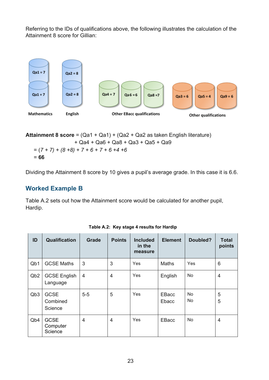Referring to the IDs of qualifications above, the following illustrates the calculation of the Attainment 8 score for Gillian:



**Attainment 8 score** = (Qa1 + Qa1) + (Qa2 + Qa2 as taken English literature) + Qa4 + Qa6 + Qa8 + Qa3 + Qa5 + Qa9 = (*7 + 7) + (8 +8) + 7 + 6 + 7 + 6 +4 +6*  = **66** 

<span id="page-22-0"></span>Dividing the Attainment 8 score by 10 gives a pupil's average grade. In this case it is 6.6.

#### **Worked Example B**

Table A.2 sets out how the Attainment score would be calculated for another pupil, Hardip.

<span id="page-22-1"></span>

| ID               | <b>Qualification</b>               | <b>Grade</b>   | <b>Points</b>  | <b>Included</b><br>in the<br>measure | <b>Element</b> | Doubled? | <b>Total</b><br>points |
|------------------|------------------------------------|----------------|----------------|--------------------------------------|----------------|----------|------------------------|
| Q <sub>b</sub> 1 | <b>GCSE Maths</b>                  | 3              | 3              | <b>Yes</b>                           | Maths          | Yes      | 6                      |
| Q <sub>b</sub> 2 | <b>GCSE English</b><br>Language    | $\overline{4}$ | $\overline{4}$ | <b>Yes</b>                           | English        | No       | $\overline{4}$         |
| Q <sub>b</sub> 3 | <b>GCSE</b><br>Combined<br>Science | $5-5$          | 5              | Yes                                  | EBacc<br>Ebacc | No<br>No | 5<br>5                 |
| Q <sub>b</sub> 4 | <b>GCSE</b><br>Computer<br>Science | $\overline{4}$ | $\overline{4}$ | Yes                                  | EBacc          | No       | $\overline{4}$         |

**Table A.2: Key stage 4 results for Hardip**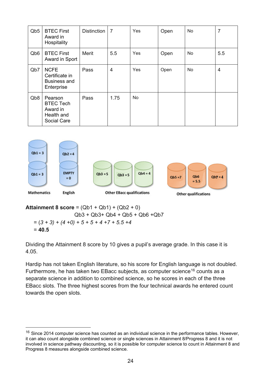| Q <sub>b</sub> <sub>5</sub> | <b>BTEC First</b><br>Award in<br>Hospitality                         | <b>Distinction</b> | $\overline{7}$ | Yes | Open | <b>No</b> | 7   |
|-----------------------------|----------------------------------------------------------------------|--------------------|----------------|-----|------|-----------|-----|
| Q <sub>b</sub> <sub>6</sub> | <b>BTEC First</b><br>Award in Sport                                  | Merit              | 5.5            | Yes | Open | <b>No</b> | 5.5 |
| Q <sub>b</sub> 7            | <b>NCFE</b><br>Certificate in<br><b>Business and</b><br>Enterprise   | Pass               | 4              | Yes | Open | No        | 4   |
| Q <sub>b</sub> 8            | Pearson<br><b>BTEC Tech</b><br>Award in<br>Health and<br>Social Care | Pass               | 1.75           | No  |      |           |     |



**Attainment 8 score** = (Qb1 + Qb1) + (Qb2 + 0) Qb3 + Qb3+ Qb4 + Qb5 + Qb6 +Qb7 = (*3 + 3) + (4 +0) + 5 + 5 + 4 +7 + 5.5 +4* = **40.5**

Dividing the Attainment 8 score by 10 gives a pupil's average grade. In this case it is 4.05.

Hardip has not taken English literature, so his score for English language is not doubled. Furthermore, he has taken two EBacc subjects, as computer science<sup>[16](#page-23-0)</sup> counts as a separate science in addition to combined science, so he scores in each of the three EBacc slots. The three highest scores from the four technical awards he entered count towards the open slots.

<span id="page-23-0"></span> $16$  Since 2014 computer science has counted as an individual science in the performance tables. However, it can also count alongside combined science or single sciences in Attainment 8/Progress 8 and it is not involved in science pathway discounting, so it is possible for computer science to count in Attainment 8 and Progress 8 measures alongside combined science.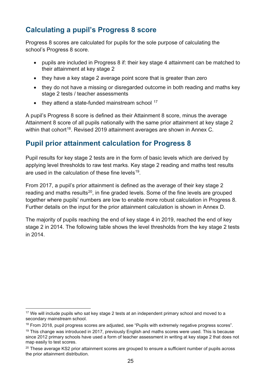## <span id="page-24-0"></span>**Calculating a pupil's Progress 8 score**

Progress 8 scores are calculated for pupils for the sole purpose of calculating the school's Progress 8 score.

- pupils are included in Progress 8 if: their key stage 4 attainment can be matched to their attainment at key stage 2
- they have a key stage 2 average point score that is greater than zero
- they do not have a missing or disregarded outcome in both reading and maths key stage 2 tests / teacher assessments
- $\bullet$  they attend a state-funded mainstream school  $17$

A pupil's Progress 8 score is defined as their Attainment 8 score, minus the average Attainment 8 score of all pupils nationally with the same prior attainment at key stage 2 within that cohort<sup>18</sup>. Revised 2019 attainment averages are shown in Annex C.

## <span id="page-24-1"></span>**Pupil prior attainment calculation for Progress 8**

Pupil results for key stage 2 tests are in the form of basic levels which are derived by applying level thresholds to raw test marks. Key stage 2 reading and maths test results are used in the calculation of these fine levels<sup>[19](#page-24-4)</sup>.

From 2017, a pupil's prior attainment is defined as the average of their key stage 2 reading and maths results<sup>[20](#page-24-5)</sup>, in fine graded levels. Some of the fine levels are grouped together where pupils' numbers are low to enable more robust calculation in Progress 8. Further details on the input for the prior attainment calculation is shown in Annex D.

The majority of pupils reaching the end of key stage 4 in 2019, reached the end of key stage 2 in 2014. The following table shows the level thresholds from the key stage 2 tests in 2014.

<span id="page-24-2"></span><sup>&</sup>lt;sup>17</sup> We will include pupils who sat key stage 2 tests at an independent primary school and moved to a secondary mainstream school.

<span id="page-24-3"></span><sup>&</sup>lt;sup>18</sup> From 2018, pupil progress scores are adjusted, see "Pupils with extremely negative progress scores".

<span id="page-24-4"></span><sup>&</sup>lt;sup>19</sup> This change was introduced in 2017, previously English and maths scores were used. This is because since 2012 primary schools have used a form of teacher assessment in writing at key stage 2 that does not map easily to test scores.

<span id="page-24-5"></span><sup>&</sup>lt;sup>20</sup> These average KS2 prior attainment scores are grouped to ensure a sufficient number of pupils across the prior attainment distribution.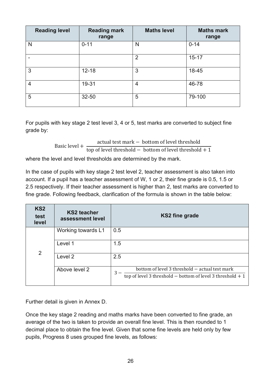| <b>Reading level</b> | <b>Reading mark</b><br>range | <b>Maths level</b> | <b>Maths mark</b><br>range |
|----------------------|------------------------------|--------------------|----------------------------|
| N                    | $0 - 11$                     | N                  | $0 - 14$                   |
| -                    |                              | $\overline{2}$     | $15 - 17$                  |
| 3                    | $12 - 18$                    | 3                  | 18-45                      |
| $\overline{4}$       | 19-31                        | $\overline{4}$     | 46-78                      |
| 5                    | 32-50                        | 5                  | 79-100                     |

For pupils with key stage 2 test level 3, 4 or 5, test marks are converted to subject fine grade by:

> Basic level + actual test mark − bottom of level threshold top of level threshold  $-$  bottom of level threshold  $+1$

where the level and level thresholds are determined by the mark.

In the case of pupils with key stage 2 test level 2, teacher assessment is also taken into account. If a pupil has a teacher assessment of W, 1 or 2, their fine grade is 0.5, 1.5 or 2.5 respectively. If their teacher assessment is higher than 2, test marks are converted to fine grade. Following feedback, clarification of the formula is shown in the table below:

| KS <sub>2</sub><br>test<br>level | <b>KS2 teacher</b><br>assessment level | <b>KS2 fine grade</b>                                                                                                |
|----------------------------------|----------------------------------------|----------------------------------------------------------------------------------------------------------------------|
|                                  | Working towards L1                     | 0.5                                                                                                                  |
| 2                                | Level 1                                | 1.5                                                                                                                  |
|                                  | Level 2                                | 2.5                                                                                                                  |
|                                  | Above level 2                          | bottom of level 3 threshold - actual test mark<br>3<br>top of level 3 threshold $-$ bottom of level 3 threshold $+1$ |

Further detail is given in Annex D.

Once the key stage 2 reading and maths marks have been converted to fine grade, an average of the two is taken to provide an overall fine level. This is then rounded to 1 decimal place to obtain the fine level. Given that some fine levels are held only by few pupils, Progress 8 uses grouped fine levels, as follows: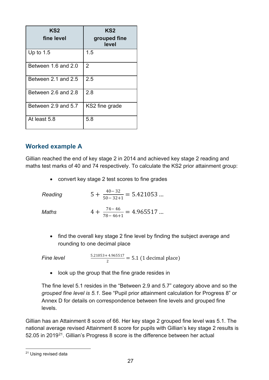| KS <sub>2</sub><br>fine level | KS <sub>2</sub><br>grouped fine<br>level |
|-------------------------------|------------------------------------------|
| Up to $1.5$                   | 1.5                                      |
| Between 1.6 and 2.0           | 2                                        |
| Between 2.1 and 2.5           | 2.5                                      |
| Between 2.6 and 2.8           | 2.8                                      |
| Between 2.9 and 5.7           | KS2 fine grade                           |
| At least 5.8                  | 5.8                                      |

#### <span id="page-26-0"></span>**Worked example A**

Gillian reached the end of key stage 2 in 2014 and achieved key stage 2 reading and maths test marks of 40 and 74 respectively. To calculate the KS2 prior attainment group:

• convert key stage 2 test scores to fine grades

| Reading | $5 + \frac{40 - 32}{50 - 32 + 1} = 5.421053$ |
|---------|----------------------------------------------|
| Maths   | $4 + \frac{74 - 46}{78 - 46 + 1} = 4.965517$ |

• find the overall key stage 2 fine level by finding the subject average and rounding to one decimal place

*Fine level*  $\frac{5.21053 + 4.965517}{2} = 5.1$  (1 decimal place)

• look up the group that the fine grade resides in

The fine level 5.1 resides in the "Between 2.9 and 5.7" category above and so the *grouped fine level is 5.1*. See "Pupil prior attainment calculation for Progress 8" or Annex D for details on correspondence between fine levels and grouped fine levels.

Gillian has an Attainment 8 score of 66. Her key stage 2 grouped fine level was 5.1. The national average revised Attainment 8 score for pupils with Gillian's key stage 2 results is 52.05 in 2019[21.](#page-26-1) Gillian's Progress 8 score is the difference between her actual

<span id="page-26-1"></span><sup>21</sup> Using revised data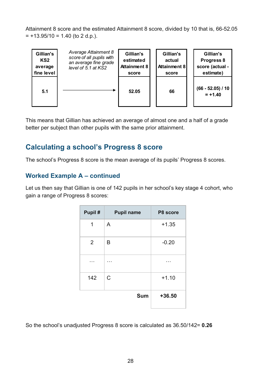Attainment 8 score and the estimated Attainment 8 score, divided by 10 that is, 66-52.05  $= +13.95/10 = 1.40$  (to 2 d.p.).



This means that Gillian has achieved an average of almost one and a half of a grade better per subject than other pupils with the same prior attainment.

## <span id="page-27-0"></span>**Calculating a school's Progress 8 score**

The school's Progress 8 score is the mean average of its pupils' Progress 8 scores.

#### <span id="page-27-1"></span>**Worked Example A – continued**

Let us then say that Gillian is one of 142 pupils in her school's key stage 4 cohort, who gain a range of Progress 8 scores:

| Pupil #        | <b>Pupil name</b> | P8 score |
|----------------|-------------------|----------|
| 1              | A                 | $+1.35$  |
| $\overline{2}$ | B                 | $-0.20$  |
|                |                   |          |
| 142            | $\mathsf C$       | $+1.10$  |
|                | <b>Sum</b>        | $+36.50$ |

So the school's unadjusted Progress 8 score is calculated as 36.50/142= **0.26**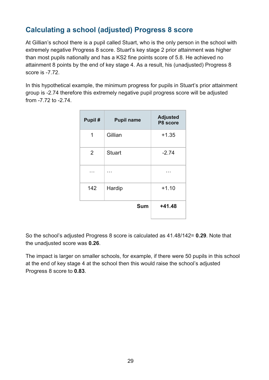## <span id="page-28-0"></span>**Calculating a school (adjusted) Progress 8 score**

At Gillian's school there is a pupil called Stuart, who is the only person in the school with extremely negative Progress 8 score. Stuart's key stage 2 prior attainment was higher than most pupils nationally and has a KS2 fine points score of 5.8. He achieved no attainment 8 points by the end of key stage 4. As a result, his (unadjusted) Progress 8 score is -7.72.

In this hypothetical example, the minimum progress for pupils in Stuart's prior attainment group is -2.74 therefore this extremely negative pupil progress score will be adjusted from -7.72 to -2.74.

| Pupil# | <b>Pupil name</b> | <b>Adjusted</b><br>P8 score |
|--------|-------------------|-----------------------------|
| 1      | Gillian           | $+1.35$                     |
| 2      | <b>Stuart</b>     | $-2.74$                     |
|        |                   |                             |
| 142    | Hardip            | $+1.10$                     |
|        | <b>Sum</b>        | $+41.48$                    |

So the school's adjusted Progress 8 score is calculated as 41.48/142= **0.29**. Note that the unadjusted score was **0.26**.

The impact is larger on smaller schools, for example, if there were 50 pupils in this school at the end of key stage 4 at the school then this would raise the school's adjusted Progress 8 score to **0.83**.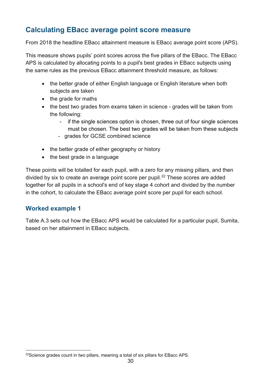## <span id="page-29-0"></span>**Calculating EBacc average point score measure**

From 2018 the headline EBacc attainment measure is EBacc average point score (APS).

This measure shows pupils' point scores across the five pillars of the EBacc. The EBacc APS is calculated by allocating points to a pupil's best grades in EBacc subjects using the same rules as the previous EBacc attainment threshold measure, as follows:

- the better grade of either English language or English literature when both subjects are taken
- the grade for maths
- the best two grades from exams taken in science grades will be taken from the following:
	- if the single sciences option is chosen, three out of four single sciences must be chosen. The best two grades will be taken from these subjects
	- grades for GCSE combined science
- the better grade of either geography or history
- the best grade in a language

These points will be totalled for each pupil, with a zero for any missing pillars, and then divided by six to create an average point score per pupil.<sup>[22](#page-29-2)</sup> These scores are added together for all pupils in a school's end of key stage 4 cohort and divided by the number in the cohort, to calculate the EBacc average point score per pupil for each school.

#### <span id="page-29-1"></span>**Worked example 1**

Table A.3 sets out how the EBacc APS would be calculated for a particular pupil, Sumita, based on her attainment in EBacc subjects.

<span id="page-29-2"></span><sup>&</sup>lt;sup>22</sup>Science grades count in two pillars, meaning a total of six pillars for EBacc APS.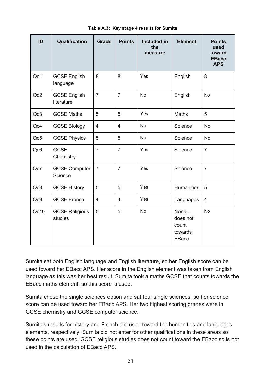<span id="page-30-0"></span>

| ID              | Qualification                     | <b>Grade</b>   | <b>Points</b>  | <b>Included in</b><br>the<br>measure | <b>Element</b>                                         | <b>Points</b><br>used<br>toward<br><b>EBacc</b><br><b>APS</b> |
|-----------------|-----------------------------------|----------------|----------------|--------------------------------------|--------------------------------------------------------|---------------------------------------------------------------|
| Qc1             | <b>GCSE English</b><br>language   | 8              | 8              | Yes                                  | English                                                | 8                                                             |
| Qc2             | <b>GCSE English</b><br>literature | $\overline{7}$ | $\overline{7}$ | No                                   | English                                                | No                                                            |
| Qc3             | <b>GCSE Maths</b>                 | 5              | 5              | Yes                                  | <b>Maths</b>                                           | 5                                                             |
| Qc4             | <b>GCSE Biology</b>               | 4              | $\overline{4}$ | No                                   | Science                                                | No                                                            |
| Qc5             | <b>GCSE Physics</b>               | 5              | 5              | No                                   | Science                                                | <b>No</b>                                                     |
| Qc <sub>6</sub> | <b>GCSE</b><br>Chemistry          | $\overline{7}$ | $\overline{7}$ | Yes                                  | Science                                                | $\overline{7}$                                                |
| Qc7             | <b>GCSE Computer</b><br>Science   | $\overline{7}$ | $\overline{7}$ | Yes                                  | Science                                                | $\overline{7}$                                                |
| Qc8             | <b>GCSE History</b>               | 5              | 5              | Yes                                  | <b>Humanities</b>                                      | 5                                                             |
| Qc9             | <b>GCSE French</b>                | 4              | 4              | Yes                                  | Languages                                              | $\overline{4}$                                                |
| Qc10            | <b>GCSE Religious</b><br>studies  | 5              | 5              | <b>No</b>                            | None -<br>does not<br>count<br>towards<br><b>EBacc</b> | <b>No</b>                                                     |

#### **Table A.3: Key stage 4 results for Sumita**

Sumita sat both English language and English literature, so her English score can be used toward her EBacc APS. Her score in the English element was taken from English language as this was her best result. Sumita took a maths GCSE that counts towards the EBacc maths element, so this score is used.

Sumita chose the single sciences option and sat four single sciences, so her science score can be used toward her EBacc APS. Her two highest scoring grades were in GCSE chemistry and GCSE computer science.

Sumita's results for history and French are used toward the humanities and languages elements, respectively. Sumita did not enter for other qualifications in these areas so these points are used. GCSE religious studies does not count toward the EBacc so is not used in the calculation of EBacc APS.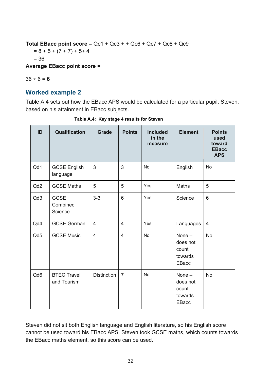**Total EBacc point score** = Qc1 + Qc3 + + Qc6 + Qc7 + Qc8 + Qc9  $= 8 + 5 + (7 + 7) + 5 + 4$ = 36 **Average EBacc point score** =

 $36 \div 6 = 6$ 

#### <span id="page-31-0"></span>**Worked example 2**

Table A.4 sets out how the EBacc APS would be calculated for a particular pupil, Steven, based on his attainment in EBacc subjects.

<span id="page-31-1"></span>

| ID              | Qualification                      | <b>Grade</b>       | <b>Points</b>   | <b>Included</b><br>in the<br>measure | <b>Element</b>                                           | <b>Points</b><br>used<br>toward<br><b>EBacc</b><br><b>APS</b> |
|-----------------|------------------------------------|--------------------|-----------------|--------------------------------------|----------------------------------------------------------|---------------------------------------------------------------|
| Qd1             | <b>GCSE English</b><br>language    | 3                  | 3               | <b>No</b>                            | English                                                  | <b>No</b>                                                     |
| Qd <sub>2</sub> | <b>GCSE Maths</b>                  | 5                  | 5               | Yes                                  | <b>Maths</b>                                             | 5                                                             |
| Qd3             | <b>GCSE</b><br>Combined<br>Science | $3 - 3$            | $6\phantom{1}6$ | Yes                                  | Science                                                  | 6                                                             |
| Qd4             | <b>GCSE German</b>                 | $\overline{4}$     | $\overline{4}$  | Yes                                  | Languages                                                | 4                                                             |
| Qd5             | <b>GCSE Music</b>                  | $\overline{4}$     | $\overline{4}$  | <b>No</b>                            | None $-$<br>does not<br>count<br>towards<br><b>EBacc</b> | <b>No</b>                                                     |
| Qd6             | <b>BTEC Travel</b><br>and Tourism  | <b>Distinction</b> | $\overline{7}$  | No                                   | None $-$<br>does not<br>count<br>towards<br>EBacc        | <b>No</b>                                                     |

**Table A.4: Key stage 4 results for Steven**

Steven did not sit both English language and English literature, so his English score cannot be used toward his EBacc APS. Steven took GCSE maths, which counts towards the EBacc maths element, so this score can be used.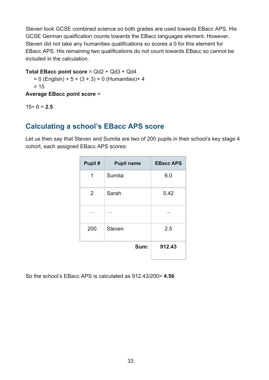Steven took GCSE combined science so both grades are used towards EBacc APS. His GCSE German qualification counts towards the EBacc languages element. However, Steven did not take any humanities qualifications so scores a 0 for this element for EBacc APS. His remaining two qualifications do not count towards EBacc so cannot be included in the calculation.

#### **Total EBacc point score** = Qd2 + Qd3 + Qd4

 $= 0$  (English) + 5 + (3 + 3) + 0 (Humanities) + 4  $= 15$ 

**Average EBacc point score** =

15÷ 6 = **2.5**

## <span id="page-32-0"></span>**Calculating a school's EBacc APS score**

Let us then say that Steven and Sumita are two of 200 pupils in their school's key stage 4 cohort, each assigned EBacc APS scores:

| Pupil# | <b>Pupil name</b> | <b>EBacc APS</b> |
|--------|-------------------|------------------|
| 1      | Sumita            | 6.0              |
| 2      | Sarah             | 5.42             |
|        |                   |                  |
| 200    | <b>Steven</b>     | 2.5              |
|        | Sum:              | 912.43           |

So the school's EBacc APS is calculated as 912.43/200= **4.56**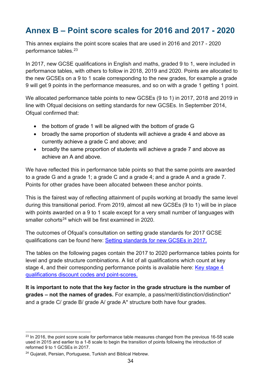# <span id="page-33-0"></span>**Annex B – Point score scales for 2016 and 2017 - 2020**

This annex explains the point score scales that are used in 2016 and 2017 - 2020 performance tables. [23](#page-33-1)

In 2017, new GCSE qualifications in English and maths, graded 9 to 1, were included in performance tables, with others to follow in 2018, 2019 and 2020. Points are allocated to the new GCSEs on a 9 to 1 scale corresponding to the new grades, for example a grade 9 will get 9 points in the performance measures, and so on with a grade 1 getting 1 point.

We allocated performance table points to new GCSEs (9 to 1) in 2017, 2018 and 2019 in line with Ofqual decisions on setting standards for new GCSEs. In September 2014, Ofqual confirmed that:

- the bottom of grade 1 will be aligned with the bottom of grade G
- broadly the same proportion of students will achieve a grade 4 and above as currently achieve a grade C and above; and
- broadly the same proportion of students will achieve a grade 7 and above as achieve an A and above.

We have reflected this in performance table points so that the same points are awarded to a grade G and a grade 1; a grade C and a grade 4; and a grade A and a grade 7. Points for other grades have been allocated between these anchor points.

This is the fairest way of reflecting attainment of pupils working at broadly the same level during this transitional period. From 2019, almost all new GCSEs (9 to 1) will be in place with points awarded on a 9 to 1 scale except for a very small number of languages with smaller cohorts<sup>[24](#page-33-2)</sup> which will be first examined in 2020.

The outcomes of Ofqual's consultation on setting grade standards for 2017 GCSE qualifications can be found here: [Setting standards for new GCSEs in 2017.](http://www.gov.uk/government/news/setting-standards-for-new-gcses-in-2017)

The tables on the following pages contain the 2017 to 2020 performance tables points for level and grade structure combinations. A list of all qualifications which count at key stage 4, and their corresponding performance points is available here: [Key stage 4](http://www.gov.uk/government/publications/key-stage-4-qualifications-discount-codes-and-point-scores)  [qualifications discount codes and point-scores.](http://www.gov.uk/government/publications/key-stage-4-qualifications-discount-codes-and-point-scores) 

**It is important to note that the key factor in the grade structure is the number of grades – not the names of grades.** For example, a pass/merit/distinction/distinction\* and a grade C/ grade B/ grade A/ grade A\* structure both have four grades.

<span id="page-33-1"></span><sup>&</sup>lt;sup>23</sup> In 2016, the point score scale for performance table measures changed from the previous 16-58 scale used in 2015 and earlier to a 1-8 scale to begin the transition of points following the introduction of reformed 9 to 1 GCSEs in 2017.

<span id="page-33-2"></span><sup>24</sup> Gujarati, Persian, Portuguese, Turkish and Biblical Hebrew.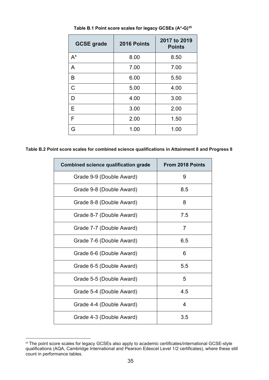<span id="page-34-0"></span>

| <b>GCSE grade</b> | 2016 Points | 2017 to 2019<br><b>Points</b> |
|-------------------|-------------|-------------------------------|
| $A^*$             | 8.00        | 8.50                          |
| A                 | 7.00        | 7.00                          |
| B                 | 6.00        | 5.50                          |
| $\overline{C}$    | 5.00        | 4.00                          |
| D                 | 4.00        | 3.00                          |
| Е                 | 3.00        | 2.00                          |
| F                 | 2.00        | 1.50                          |
| G                 | 1.00        | 1.00                          |

**Table B.1 Point score scales for legacy GCSEs (A\*-G)[25](#page-34-1)**

**Table B.2 Point score scales for combined science qualifications in Attainment 8 and Progress 8**

| <b>Combined science qualification grade</b> | <b>From 2018 Points</b> |
|---------------------------------------------|-------------------------|
| Grade 9-9 (Double Award)                    | 9                       |
| Grade 9-8 (Double Award)                    | 8.5                     |
| Grade 8-8 (Double Award)                    | 8                       |
| Grade 8-7 (Double Award)                    | 7.5                     |
| Grade 7-7 (Double Award)                    | 7                       |
| Grade 7-6 (Double Award)                    | 6.5                     |
| Grade 6-6 (Double Award)                    | 6                       |
| Grade 6-5 (Double Award)                    | 5.5                     |
| Grade 5-5 (Double Award)                    | 5                       |
| Grade 5-4 (Double Award)                    | 4.5                     |
| Grade 4-4 (Double Award)                    | 4                       |
| Grade 4-3 (Double Award)                    | 3.5                     |

<span id="page-34-1"></span><sup>&</sup>lt;sup>25</sup> The point score scales for legacy GCSEs also apply to academic certificates/international GCSE-style qualifications (AQA, Cambridge International and Pearson Edexcel Level 1/2 certificates), where these still count in performance tables.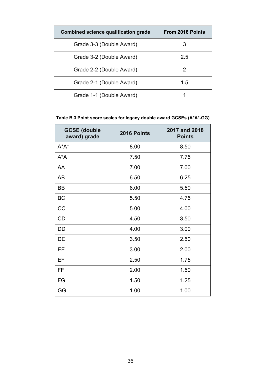| <b>Combined science qualification grade</b> | <b>From 2018 Points</b> |
|---------------------------------------------|-------------------------|
| Grade 3-3 (Double Award)                    | 3                       |
| Grade 3-2 (Double Award)                    | 2.5                     |
| Grade 2-2 (Double Award)                    | 2                       |
| Grade 2-1 (Double Award)                    | 1.5                     |
| Grade 1-1 (Double Award)                    |                         |

#### <span id="page-35-0"></span>**Table B.3 Point score scales for legacy double award GCSEs (A\*A\*-GG)**

| <b>GCSE (double</b><br>award) grade | 2016 Points | 2017 and 2018<br><b>Points</b> |
|-------------------------------------|-------------|--------------------------------|
| $A^*A^*$                            | 8.00        | 8.50                           |
| $A^*A$                              | 7.50        | 7.75                           |
| AA                                  | 7.00        | 7.00                           |
| AB                                  | 6.50        | 6.25                           |
| <b>BB</b>                           | 6.00        | 5.50                           |
| <b>BC</b>                           | 5.50        | 4.75                           |
| <b>CC</b>                           | 5.00        | 4.00                           |
| CD                                  | 4.50        | 3.50                           |
| DD                                  | 4.00        | 3.00                           |
| DE                                  | 3.50        | 2.50                           |
| EE                                  | 3.00        | 2.00                           |
| EF                                  | 2.50        | 1.75                           |
| FF                                  | 2.00        | 1.50                           |
| FG                                  | 1.50        | 1.25                           |
| GG                                  | 1.00        | 1.00                           |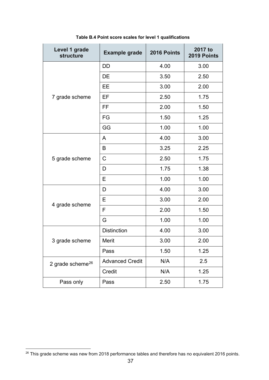<span id="page-36-0"></span>

| Level 1 grade<br>structure | <b>Example grade</b>   | 2016 Points | 2017 to<br>2019 Points |
|----------------------------|------------------------|-------------|------------------------|
|                            | DD                     | 4.00        | 3.00                   |
|                            | DE                     | 3.50        | 2.50                   |
|                            | EE                     | 3.00        | 2.00                   |
| 7 grade scheme             | EF                     | 2.50        | 1.75                   |
|                            | FF                     | 2.00        | 1.50                   |
|                            | FG                     | 1.50        | 1.25                   |
|                            | GG                     | 1.00        | 1.00                   |
|                            | A                      | 4.00        | 3.00                   |
|                            | B                      | 3.25        | 2.25                   |
| 5 grade scheme             | C                      | 2.50        | 1.75                   |
|                            | D                      | 1.75        | 1.38                   |
|                            | Е                      | 1.00        | 1.00                   |
|                            | D                      | 4.00        | 3.00                   |
| 4 grade scheme             | E                      | 3.00        | 2.00                   |
|                            | F                      | 2.00        | 1.50                   |
|                            | G                      | 1.00        | 1.00                   |
|                            | <b>Distinction</b>     | 4.00        | 3.00                   |
| 3 grade scheme             | Merit                  | 3.00        | 2.00                   |
|                            | Pass                   | 1.50        | 1.25                   |
| 2 grade scheme $^{26}$     | <b>Advanced Credit</b> | N/A         | 2.5                    |
|                            | Credit                 | N/A         | 1.25                   |
| Pass only                  | Pass                   | 2.50        | 1.75                   |

**Table B.4 Point score scales for level 1 qualifications**

<span id="page-36-1"></span><sup>26</sup> This grade scheme was new from 2018 performance tables and therefore has no equivalent 2016 points.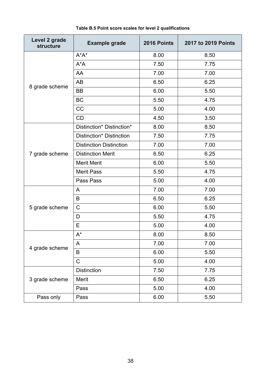<span id="page-37-0"></span>

| Level 2 grade<br><b>structure</b> | <b>Example grade</b>           | 2016 Points | 2017 to 2019 Points |
|-----------------------------------|--------------------------------|-------------|---------------------|
|                                   | $A^*A^*$                       | 8.00        | 8.50                |
|                                   | $A^*A$                         | 7.50        | 7.75                |
|                                   | AA                             | 7.00        | 7.00                |
| 8 grade scheme                    | <b>AB</b>                      | 6.50        | 6.25                |
|                                   | BB                             | 6.00        | 5.50                |
|                                   | <b>BC</b>                      | 5.50        | 4.75                |
|                                   | CC                             | 5.00        | 4.00                |
|                                   | CD                             | 4.50        | 3.50                |
|                                   | Distinction* Distinction*      | 8.00        | 8.50                |
|                                   | Distinction* Distinction       | 7.50        | 7.75                |
|                                   | <b>Distinction Distinction</b> | 7.00        | 7.00                |
| 7 grade scheme                    | <b>Distinction Merit</b>       | 6.50        | 6.25                |
|                                   | <b>Merit Merit</b>             | 6.00        | 5.50                |
|                                   | <b>Merit Pass</b>              | 5.50        | 4.75                |
|                                   | Pass Pass                      | 5.00        | 4.00                |
|                                   | A                              | 7.00        | 7.00                |
|                                   | B                              | 6.50        | 6.25                |
| 5 grade scheme                    | $\mathsf C$                    | 6.00        | 5.50                |
|                                   | D                              | 5.50        | 4.75                |
|                                   | E                              | 5.00        | 4.00                |
|                                   | $A^*$                          | 8.00        | 8.50                |
|                                   | A                              | 7.00        | 7.00                |
| 4 grade scheme                    | B                              | 6.00        | 5.50                |
|                                   | $\mathsf C$                    | 5.00        | 4.00                |
|                                   | <b>Distinction</b>             | 7.50        | 7.75                |
| 3 grade scheme                    | Merit                          | 6.50        | 6.25                |
|                                   | Pass                           | 5.00        | 4.00                |
| Pass only                         | Pass                           | 6.00        | 5.50                |

#### **Table B.5 Point score scales for level 2 qualifications**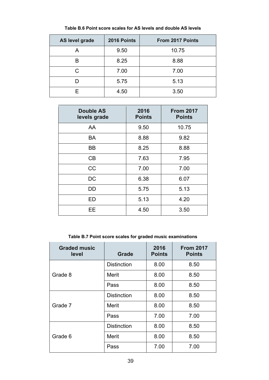<span id="page-38-0"></span>

| AS level grade | 2016 Points | From 2017 Points |
|----------------|-------------|------------------|
| А              | 9.50        | 10.75            |
| R              | 8.25        | 8.88             |
| С              | 7.00        | 7.00             |
|                | 5.75        | 5.13             |
| F              | 4.50        | 3.50             |

**Table B.6 Point score scales for AS levels and double AS levels**

| <b>Double AS</b><br>levels grade | 2016<br><b>Points</b> | <b>From 2017</b><br><b>Points</b> |
|----------------------------------|-----------------------|-----------------------------------|
| AA                               | 9.50                  | 10.75                             |
| <b>BA</b>                        | 8.88                  | 9.82                              |
| <b>BB</b>                        | 8.25                  | 8.88                              |
| CB                               | 7.63                  | 7.95                              |
| <b>CC</b>                        | 7.00                  | 7.00                              |
| DC                               | 6.38                  | 6.07                              |
| DD                               | 5.75                  | 5.13                              |
| ED                               | 5.13                  | 4.20                              |
| ЕE                               | 4.50                  | 3.50                              |

**Table B.7 Point score scales for graded music examinations**

<span id="page-38-1"></span>

| <b>Graded music</b><br>level | <b>Grade</b>       | 2016<br><b>Points</b> | <b>From 2017</b><br><b>Points</b> |
|------------------------------|--------------------|-----------------------|-----------------------------------|
|                              | <b>Distinction</b> | 8.00                  | 8.50                              |
| Grade 8                      | Merit              | 8.00                  | 8.50                              |
|                              | Pass               | 8.00                  | 8.50                              |
|                              | <b>Distinction</b> | 8.00                  | 8.50                              |
| Grade 7                      | Merit              | 8.00                  | 8.50                              |
|                              | Pass               | 7.00                  | 7.00                              |
|                              | <b>Distinction</b> | 8.00                  | 8.50                              |
| Grade 6                      | Merit              | 8.00                  | 8.50                              |
|                              | Pass               | 7.00                  | 7.00                              |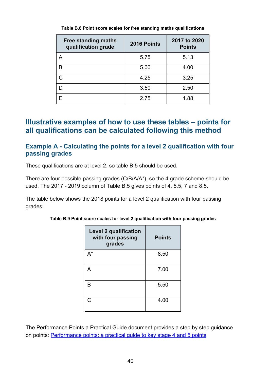<span id="page-39-2"></span>

| <b>Free standing maths</b><br>qualification grade | 2016 Points | 2017 to 2020<br><b>Points</b> |
|---------------------------------------------------|-------------|-------------------------------|
| А                                                 | 5.75        | 5.13                          |
| R                                                 | 5.00        | 4.00                          |
|                                                   | 4.25        | 3.25                          |
|                                                   | 3.50        | 2.50                          |
| F                                                 | 2.75        | 1.88                          |

**Table B.8 Point score scales for free standing maths qualifications**

## <span id="page-39-0"></span>**Illustrative examples of how to use these tables – points for all qualifications can be calculated following this method**

#### <span id="page-39-1"></span>**Example A - Calculating the points for a level 2 qualification with four passing grades**

These qualifications are at level 2, so table B.5 should be used.

There are four possible passing grades (C/B/A/A\*), so the 4 grade scheme should be used. The 2017 - 2019 column of Table B.5 gives points of 4, 5.5, 7 and 8.5.

<span id="page-39-3"></span>The table below shows the 2018 points for a level 2 qualification with four passing grades:

| <b>Level 2 qualification</b><br>with four passing<br>grades | <b>Points</b> |
|-------------------------------------------------------------|---------------|
| A*                                                          | 8.50          |
| А                                                           | 7.00          |
| B                                                           | 5.50          |
| C                                                           | 4.00          |

**Table B.9 Point score scales for level 2 qualification with four passing grades**

The Performance Points a Practical Guide document provides a step by step guidance on points: [Performance points: a practical guide to key stage 4 and 5 points](https://www.gov.uk/government/publications/performance-points-a-practical-guide-to-key-stage-4-and-5-points)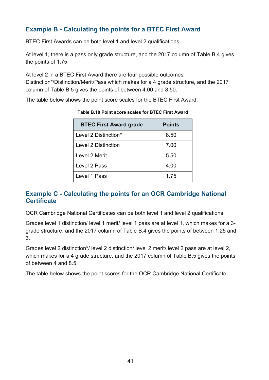### <span id="page-40-0"></span>**Example B - Calculating the points for a BTEC First Award**

BTEC First Awards can be both level 1 and level 2 qualifications.

At level 1, there is a pass only grade structure, and the 2017 column of Table B.4 gives the points of 1.75.

At level 2 in a BTEC First Award there are four possible outcomes Distinction\*/Distinction/Merit/Pass which makes for a 4 grade structure, and the 2017 column of Table B.5 gives the points of between 4.00 and 8.50.

<span id="page-40-2"></span>The table below shows the point score scales for the BTEC First Award:

| <b>BTEC First Award grade</b> | <b>Points</b> |
|-------------------------------|---------------|
| Level 2 Distinction*          | 8.50          |
| <b>Level 2 Distinction</b>    | 7.00          |
| Level 2 Merit                 | 5.50          |
| Level 2 Pass                  | 4.00          |
| Level 1 Pass                  | 1.75          |

**Table B.10 Point score scales for BTEC First Award**

#### <span id="page-40-1"></span>**Example C - Calculating the points for an OCR Cambridge National Certificate**

OCR Cambridge National Certificates can be both level 1 and level 2 qualifications.

Grades level 1 distinction/ level 1 merit/ level 1 pass are at level 1, which makes for a 3 grade structure, and the 2017 column of Table B.4 gives the points of between 1.25 and 3.

Grades level 2 distinction\*/ level 2 distinction/ level 2 merit/ level 2 pass are at level 2, which makes for a 4 grade structure, and the 2017 column of Table B.5 gives the points of between 4 and 8.5.

The table below shows the point scores for the OCR Cambridge National Certificate: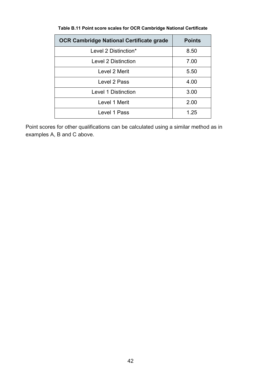<span id="page-41-0"></span>

| <b>OCR Cambridge National Certificate grade</b> | <b>Points</b> |
|-------------------------------------------------|---------------|
| Level 2 Distinction*                            | 8.50          |
| Level 2 Distinction                             | 7.00          |
| Level 2 Merit                                   | 5.50          |
| Level 2 Pass                                    | 4.00          |
| Level 1 Distinction                             | 3.00          |
| Level 1 Merit                                   | 2.00          |
| Level 1 Pass                                    | 1.25          |

#### **Table B.11 Point score scales for OCR Cambridge National Certificate**

Point scores for other qualifications can be calculated using a similar method as in examples A, B and C above.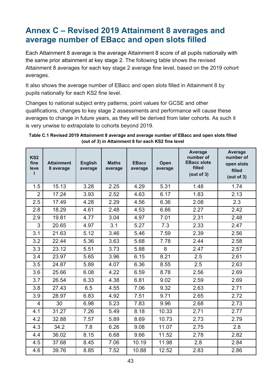# <span id="page-42-0"></span>**Annex C – Revised 2019 Attainment 8 averages and average number of EBacc and open slots filled**

Each Attainment 8 average is the average Attainment 8 score of all pupils nationally with the same prior attainment at key stage 2. The following table shows the revised Attainment 8 averages for each key stage 2 average fine level, based on the 2019 cohort averages.

It also shows the average number of EBacc and open slots filled in Attainment 8 by pupils nationally for each KS2 fine level.

Changes to national subject entry patterns, point values for GCSE and other qualifications, changes to key stage 2 assessments and performance will cause these averages to change in future years, as they will be derived from later cohorts. As such it is very unwise to extrapolate to cohorts beyond 2019.

<span id="page-42-1"></span>**Table C.1 Revised 2019 Attainment 8 average and average number of EBacc and open slots filled (out of 3) in Attainment 8 for each KS2 fine level**

| KS <sub>2</sub><br>fine<br>leve | <b>Attainment</b><br>8 average | <b>English</b><br>average | <b>Maths</b><br>average | <b>EBacc</b><br>average | Open<br>average | Average<br>number of<br><b>EBacc slots</b><br>filled<br>(out of 3) | Average<br>number of<br>open slots<br>filled<br>(out of 3) |
|---------------------------------|--------------------------------|---------------------------|-------------------------|-------------------------|-----------------|--------------------------------------------------------------------|------------------------------------------------------------|
| 1.5                             | 15.13                          | 3.28                      | 2.25                    | 4.29                    | 5.31            | 1.48                                                               | 1.74                                                       |
| $\overline{2}$                  | 17.24                          | 3.93                      | 2.52                    | 4.63                    | 6.17            | 1.83                                                               | 2.13                                                       |
| 2.5                             | 17.49                          | 4.28                      | 2.29                    | 4.56                    | 6.36            | 2.08                                                               | 2.3                                                        |
| 2.8                             | 18.29                          | 4.61                      | 2.48                    | 4.53                    | 6.66            | 2.27                                                               | 2.42                                                       |
| 2.9                             | 19.81                          | 4.77                      | 3.04                    | 4.97                    | 7.01            | 2.31                                                               | 2.48                                                       |
| 3                               | 20.65                          | 4.97                      | 3.1                     | 5.27                    | 7.3             | 2.33                                                               | 2.47                                                       |
| 3.1                             | 21.63                          | 5.12                      | 3.46                    | 5.46                    | 7.59            | 2.39                                                               | 2.56                                                       |
| 3.2                             | 22.44                          | 5.36                      | 3.63                    | 5.68                    | 7.78            | 2.44                                                               | 2.58                                                       |
| 3.3                             | 23.12                          | 5.51                      | 3.73                    | 5.88                    | 8               | 2.47                                                               | 2.57                                                       |
| 3.4                             | 23.97                          | 5.65                      | 3.96                    | 6.15                    | 8.21            | 2.5                                                                | 2.61                                                       |
| 3.5                             | 24.87                          | 5.89                      | 4.07                    | 6.36                    | 8.55            | 2.5                                                                | 2.63                                                       |
| 3.6                             | 25.66                          | 6.08                      | 4.22                    | 6.59                    | 8.78            | 2.56                                                               | 2.69                                                       |
| 3.7                             | 26.54                          | 6.33                      | 4.38                    | 6.81                    | 9.02            | 2.59                                                               | 2.69                                                       |
| 3.8                             | 27.43                          | 6.5                       | 4.55                    | 7.06                    | 9.32            | 2.63                                                               | 2.71                                                       |
| 3.9                             | 28.97                          | 6.83                      | 4.92                    | 7.51                    | 9.71            | 2.65                                                               | 2.72                                                       |
| 4                               | 30                             | 6.98                      | 5.23                    | 7.83                    | 9.96            | 2.68                                                               | 2.73                                                       |
| 4.1                             | 31.27                          | 7.26                      | 5.49                    | 8.18                    | 10.33           | 2.71                                                               | 2.77                                                       |
| 4.2                             | 32.88                          | 7.57                      | 5.89                    | 8.69                    | 10.73           | 2.73                                                               | 2.79                                                       |
| 4.3                             | 34.2                           | 7.8                       | 6.26                    | 9.08                    | 11.07           | 2.75                                                               | 2.8                                                        |
| 4.4                             | 36.02                          | 8.15                      | 6.68                    | 9.66                    | 11.52           | 2.78                                                               | 2.82                                                       |
| 4.5                             | 37.68                          | 8.45                      | 7.06                    | 10.19                   | 11.98           | 2.8                                                                | 2.84                                                       |
| 4.6                             | 39.76                          | 8.85                      | 7.52                    | 10.88                   | 12.52           | 2.83                                                               | 2.86                                                       |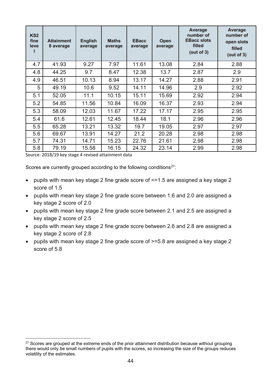| KS <sub>2</sub><br>fine<br>leve | <b>Attainment</b><br>8 average | <b>English</b><br>average | <b>Maths</b><br>average | <b>EBacc</b><br>average | Open<br>average | Average<br>number of<br><b>EBacc slots</b><br>filled<br>(out of 3) | Average<br>number of<br>open slots<br>filled<br>(out of 3) |
|---------------------------------|--------------------------------|---------------------------|-------------------------|-------------------------|-----------------|--------------------------------------------------------------------|------------------------------------------------------------|
| 4.7                             | 41.93                          | 9.27                      | 7.97                    | 11.61                   | 13.08           | 2.84                                                               | 2.88                                                       |
| 4.8                             | 44.25                          | 9.7                       | 8.47                    | 12.38                   | 13.7            | 2.87                                                               | 2.9                                                        |
| 4.9                             | 46.51                          | 10.13                     | 8.94                    | 13.17                   | 14.27           | 2.88                                                               | 2.91                                                       |
| 5                               | 49.19                          | 10.6                      | 9.52                    | 14.11                   | 14.96           | 2.9                                                                | 2.92                                                       |
| 5.1                             | 52.05                          | 11.1                      | 10.15                   | 15.11                   | 15.69           | 2.92                                                               | 2.94                                                       |
| 5.2                             | 54.85                          | 11.56                     | 10.84                   | 16.09                   | 16.37           | 2.93                                                               | 2.94                                                       |
| 5.3                             | 58.09                          | 12.03                     | 11.67                   | 17.22                   | 17.17           | 2.95                                                               | 2.95                                                       |
| 5.4                             | 61.6                           | 12.61                     | 12.45                   | 18.44                   | 18.1            | 2.96                                                               | 2.96                                                       |
| 5.5                             | 65.28                          | 13.21                     | 13.32                   | 19.7                    | 19.05           | 2.97                                                               | 2.97                                                       |
| 5.6                             | 69.67                          | 13.91                     | 14.27                   | 21.2                    | 20.28           | 2.98                                                               | 2.98                                                       |
| 5.7                             | 74.31                          | 14.71                     | 15.23                   | 22.76                   | 21.61           | 2.98                                                               | 2.98                                                       |
| 5.8                             | 79.19                          | 15.58                     | 16.15                   | 24.32                   | 23.14           | 2.99                                                               | 2.98                                                       |

Source: 2018/19 key stage 4 revised attainment data

Scores are currently grouped according to the following conditions<sup>27</sup>:

- pupils with mean key stage 2 fine grade score of <=1.5 are assigned a key stage 2 score of 1.5
- pupils with mean key stage 2 fine grade score between 1.6 and 2.0 are assigned a key stage 2 score of 2.0
- pupils with mean key stage 2 fine grade score between 2.1 and 2.5 are assigned a key stage 2 score of 2.5
- pupils with mean key stage 2 fine grade score between 2.6 and 2.8 are assigned a key stage 2 score of 2.8
- pupils with mean key stage 2 fine grade score of >=5.8 are assigned a key stage 2 score of 5.8

<span id="page-43-0"></span> $27$  Scores are grouped at the extreme ends of the prior attainment distribution because without grouping there would only be small numbers of pupils with the scores, so increasing the size of the groups reduces volatility of the estimates.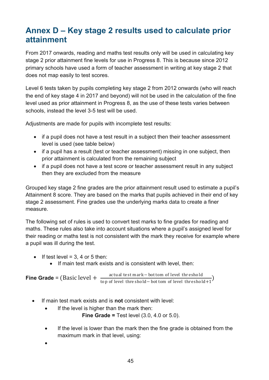## <span id="page-44-0"></span>**Annex D – Key stage 2 results used to calculate prior attainment**

From 2017 onwards, reading and maths test results only will be used in calculating key stage 2 prior attainment fine levels for use in Progress 8. This is because since 2012 primary schools have used a form of teacher assessment in writing at key stage 2 that does not map easily to test scores.

Level 6 tests taken by pupils completing key stage 2 from 2012 onwards (who will reach the end of key stage 4 in 2017 and beyond) will not be used in the calculation of the fine level used as prior attainment in Progress 8, as the use of these tests varies between schools, instead the level 3-5 test will be used.

Adjustments are made for pupils with incomplete test results:

- if a pupil does not have a test result in a subject then their teacher assessment level is used (see table below)
- if a pupil has a result (test or teacher assessment) missing in one subject, then prior attainment is calculated from the remaining subject
- if a pupil does not have a test score or teacher assessment result in any subject then they are excluded from the measure

Grouped key stage 2 fine grades are the prior attainment result used to estimate a pupil's Attainment 8 score. They are based on the marks that pupils achieved in their end of key stage 2 assessment. Fine grades use the underlying marks data to create a finer measure.

The following set of rules is used to convert test marks to fine grades for reading and maths. These rules also take into account situations where a pupil's assigned level for their reading or maths test is not consistent with the mark they receive for example where a pupil was ill during the test.

- If test level =  $3, 4$  or  $5$  then:
	- If main test mark exists and is consistent with level, then:

**Fine Grade** = (Basic level +  $\frac{actual \text{ test mark}-bottom \text{ of level threshold}}{top \text{ of level threshold}-bottom \text{ of level threshold}+1}$ )

- If main test mark exists and is **not** consistent with level:
	- If the level is higher than the mark then:

**Fine Grade =** Test level (3.0, 4.0 or 5.0).

• If the level is lower than the mark then the fine grade is obtained from the maximum mark in that level, using:

•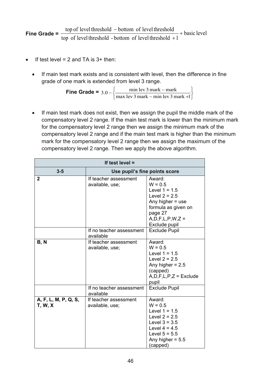**Fine Grade =**  $\frac{np}{\epsilon}$  **c**  $\frac{1}{2}$  and  $\frac{1}{2}$  and  $\frac{1}{2}$  and  $\frac{1}{2}$  and  $\frac{1}{2}$  and  $\frac{1}{2}$  and  $\frac{1}{2}$  and  $\frac{1}{2}$  and  $\frac{1}{2}$  and  $\frac{1}{2}$  and  $\frac{1}{2}$  and  $\frac{1}{2}$  and  $\frac{1}{2}$  and  $\frac{1}{2}$ top of level threshold - bottom of level threshold  $+1$  $\frac{1}{100}$  top of level threshold  $-$  bottom of level threshold + −

- If test level  $= 2$  and TA is  $3+$  then:
	- If main test mark exists and is consistent with level, then the difference in fine grade of one mark is extended from level 3 range.

**Fine Grade =** J  $\left\{ \right.$  $\mathcal{I}$  $\overline{\mathcal{L}}$ ┤  $\int$  $3.0 - \begin{cases} \frac{\text{min} \text{lev } 3 \text{ mark} - \text{mark}}{\text{max} \text{ lev } 3 \text{ mark} - \text{min} \text{ lev } 3 \text{ mark } +1} \end{cases}$ 

• If main test mark does not exist, then we assign the pupil the middle mark of the compensatory level 2 range. If the main test mark is lower than the minimum mark for the compensatory level 2 range then we assign the minimum mark of the compensatory level 2 range and if the main test mark is higher than the minimum mark for the compensatory level 2 range then we assign the maximum of the compensatory level 2 range. Then we apply the above algorithm.

| If test level $=$                      |                                          |                                                                                                                                                               |  |  |
|----------------------------------------|------------------------------------------|---------------------------------------------------------------------------------------------------------------------------------------------------------------|--|--|
| $3 - 5$                                | Use pupil's fine points score            |                                                                                                                                                               |  |  |
| $\overline{2}$                         | If teacher assessment<br>available, use; | Award:<br>$W = 0.5$<br>Level $1 = 1.5$<br>Level $2 = 2.5$<br>Any higher $=$ use<br>formula as given on<br>page 27<br>$A, D, F, L, P, W, Z =$<br>Exclude pupil |  |  |
|                                        | If no teacher assessment<br>available    | <b>Exclude Pupil</b>                                                                                                                                          |  |  |
| <b>B, N</b>                            | If teacher assessment<br>available, use; | Award:<br>$W = 0.5$<br>Level $1 = 1.5$<br>Level $2 = 2.5$<br>Any higher $= 2.5$<br>(capped)<br>$A, D, F, L, P, Z =$ Exclude<br>pupil                          |  |  |
|                                        | If no teacher assessment<br>available    | <b>Exclude Pupil</b>                                                                                                                                          |  |  |
| A, F, L, M, P, Q, S,<br><b>T, W, X</b> | If teacher assessment<br>available, use; | Award:<br>$W = 0.5$<br>Level $1 = 1.5$<br>Level $2 = 2.5$<br>Level $3 = 3.5$<br>Level $4 = 4.5$<br>Level $5 = 5.5$<br>Any higher = $5.5$<br>(capped)          |  |  |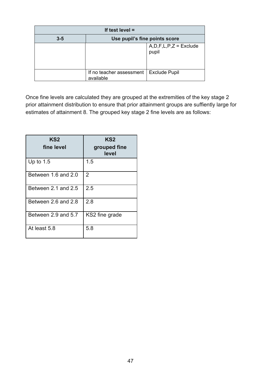| If test level $=$ |                                       |                                       |  |
|-------------------|---------------------------------------|---------------------------------------|--|
| $3 - 5$           | Use pupil's fine points score         |                                       |  |
|                   |                                       | $A, D, F, L, P, Z =$ Exclude<br>pupil |  |
|                   | If no teacher assessment<br>available | <b>Exclude Pupil</b>                  |  |

Once fine levels are calculated they are grouped at the extremities of the key stage 2 prior attainment distribution to ensure that prior attainment groups are suffiently large for estimates of attainment 8. The grouped key stage 2 fine levels are as follows:

| KS <sub>2</sub><br>fine level | KS2<br>grouped fine<br>level |
|-------------------------------|------------------------------|
| Up to $1.5$                   | 1.5                          |
| Between 1.6 and 2.0           | 2                            |
| Between 2.1 and 2.5           | 2.5                          |
| Between 2.6 and 2.8           | 2.8                          |
| Between 2.9 and 5.7           | KS2 fine grade               |
| At least 5.8                  | 5.8                          |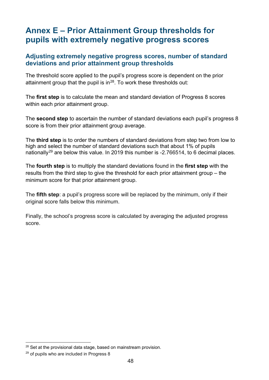## <span id="page-47-0"></span>**Annex E – Prior Attainment Group thresholds for pupils with extremely negative progress scores**

#### <span id="page-47-1"></span>**Adjusting extremely negative progress scores, number of standard deviations and prior attainment group thresholds**

The threshold score applied to the pupil's progress score is dependent on the prior attainment group that the pupil is in $^{28}$ . To work these thresholds out:

The **first step** is to calculate the mean and standard deviation of Progress 8 scores within each prior attainment group.

The **second step** to ascertain the number of standard deviations each pupil's progress 8 score is from their prior attainment group average.

The **third step** is to order the numbers of standard deviations from step two from low to high and select the number of standard deviations such that about 1% of pupils nationally<sup>[29](#page-47-3)</sup> are below this value. In 2019 this number is -2.766514, to 6 decimal places.

The **fourth step** is to multiply the standard deviations found in the **first step** with the results from the third step to give the threshold for each prior attainment group – the minimum score for that prior attainment group.

The **fifth step**: a pupil's progress score will be replaced by the minimum, only if their original score falls below this minimum.

Finally, the school's progress score is calculated by averaging the adjusted progress score.

<span id="page-47-2"></span><sup>&</sup>lt;sup>28</sup> Set at the provisional data stage, based on mainstream provision.

<span id="page-47-3"></span><sup>&</sup>lt;sup>29</sup> of pupils who are included in Progress 8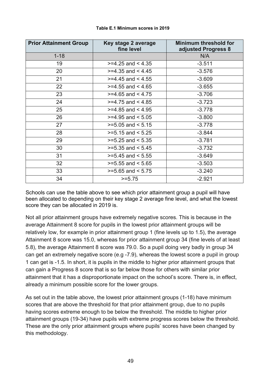<span id="page-48-1"></span><span id="page-48-0"></span>

| <b>Prior Attainment Group</b> | Key stage 2 average<br>fine level | <b>Minimum threshold for</b><br>adjusted Progress 8 |
|-------------------------------|-----------------------------------|-----------------------------------------------------|
| $1 - 18$                      |                                   | N/A                                                 |
| 19                            | $>=$ 4.25 and < 4.35              | $-3.511$                                            |
| 20                            | $>=$ 4.35 and < 4.45              | $-3.576$                                            |
| 21                            | $>=$ 4.45 and < 4.55              | $-3.609$                                            |
| 22                            | $>=$ 4.55 and < 4.65              | $-3.655$                                            |
| 23                            | $>=$ 4.65 and < 4.75              | $-3.706$                                            |
| 24                            | $>=$ 4.75 and < 4.85              | $-3.723$                                            |
| 25                            | $>=$ 4.85 and < 4.95              | $-3.778$                                            |
| 26                            | $>=$ 4.95 and $<$ 5.05            | $-3.800$                                            |
| 27                            | $>=5.05$ and $< 5.15$             | $-3.778$                                            |
| 28                            | $>=5.15$ and $< 5.25$             | $-3.844$                                            |
| 29                            | $>= 5.25$ and $< 5.35$            | $-3.781$                                            |
| 30                            | $>=5.35$ and $< 5.45$             | $-3.732$                                            |
| 31                            | $>=5.45$ and $< 5.55$             | $-3.649$                                            |
| 32                            | $>=5.55$ and $< 5.65$             | $-3.503$                                            |
| 33                            | $>=5.65$ and $< 5.75$             | $-3.240$                                            |
| 34                            | $>= 5.75$                         | $-2.921$                                            |

#### **Table E.1 Minimum scores in 2019**

Schools can use the table above to see which prior attainment group a pupil will have been allocated to depending on their key stage 2 average fine level, and what the lowest score they can be allocated in 2019 is.

Not all prior attainment groups have extremely negative scores. This is because in the average Attainment 8 score for pupils in the lowest prior attainment groups will be relatively low, for example in prior attainment group 1 (fine levels up to 1.5), the average Attainment 8 score was 15.0, whereas for prior attainment group 34 (fine levels of at least 5.8), the average Attainment 8 score was 79.0. So a pupil doing very badly in group 34 can get an extremely negative score (e.g -7.9), whereas the lowest score a pupil in group 1 can get is -1.5. In short, it is pupils in the middle to higher prior attainment groups that can gain a Progress 8 score that is so far below those for others with similar prior attainment that it has a disproportionate impact on the school's score. There is, in effect, already a minimum possible score for the lower groups.

As set out in the table above, the lowest prior attainment groups (1-18) have minimum scores that are above the threshold for that prior attainment group, due to no pupils having scores extreme enough to be below the threshold. The middle to higher prior attainment groups (19-34) have pupils with extreme progress scores below the threshold. These are the only prior attainment groups where pupils' scores have been changed by this methodology.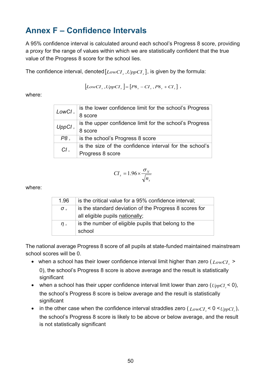# <span id="page-49-0"></span>**Annex F – Confidence Intervals**

A 95% confidence interval is calculated around each school's Progress 8 score, providing a proxy for the range of values within which we are statistically confident that the true value of the Progress 8 score for the school lies.

The confidence interval, denoted  $[LowCI_s, UppCI_s]$ , is given by the formula:

$$
\left[ LowCI_{s}\,, UppCI_{s}\right] = \left[ P8_{s}-CI_{s}\,, P8_{s}+CI_{s}\right]\,,
$$

where:

| LowCl <sub>s</sub> | is the lower confidence limit for the school's Progress |
|--------------------|---------------------------------------------------------|
|                    | 8 score                                                 |
| UppCl <sub>s</sub> | is the upper confidence limit for the school's Progress |
|                    | 8 score                                                 |
| P8 <sub>s</sub>    | is the school's Progress 8 score                        |
| CI <sub>s</sub>    | is the size of the confidence interval for the school's |
|                    | Progress 8 score                                        |

$$
CI_s = 1.96 \times \frac{\sigma_{N}}{\sqrt{n_s}}
$$

where:

| 1.96            | is the critical value for a 95% confidence interval;   |
|-----------------|--------------------------------------------------------|
| $\sigma$ $\sim$ | is the standard deviation of the Progress 8 scores for |
|                 | all eligible pupils nationally;                        |
| $n_{s}$         | is the number of eligible pupils that belong to the    |
|                 | school                                                 |

The national average Progress 8 score of all pupils at state-funded maintained mainstream school scores will be 0.

- when a school has their lower confidence interval limit higher than zero  $(LowCI_{s} >$ 0), the school's Progress 8 score is above average and the result is statistically significant
- when a school has their upper confidence interval limit lower than zero  $(\mathit{UppCI}_{S} < 0)$ , the school's Progress 8 score is below average and the result is statistically significant
- in the other case when the confidence interval straddles zero  $(LowCI \leq 0 \leq UppCI)$ , the school's Progress 8 score is likely to be above or below average, and the result is not statistically significant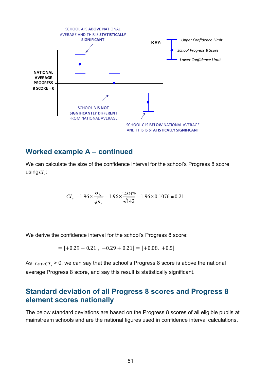

#### <span id="page-50-0"></span>**Worked example A – continued**

We can calculate the size of the confidence interval for the school's Progress 8 score using*CI <sup>s</sup>* :

$$
CI_s = 1.96 \times \frac{\sigma_{N}}{\sqrt{n_s}} = 1.96 \times \frac{1.282479}{\sqrt{142}} = 1.96 \times 0.1076 = 0.21
$$

We derive the confidence interval for the school's Progress 8 score:

$$
= [+0.29 - 0.21 , +0.29 + 0.21] = [+0.08, +0.5]
$$

As  $LowCI \ge 0$ , we can say that the school's Progress 8 score is above the national average Progress 8 score, and say this result is statistically significant.

### <span id="page-50-1"></span>**Standard deviation of all Progress 8 scores and Progress 8 element scores nationally**

The below standard deviations are based on the Progress 8 scores of all eligible pupils at mainstream schools and are the national figures used in confidence interval calculations.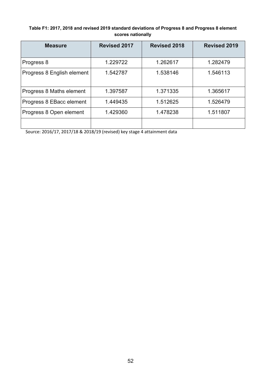#### <span id="page-51-0"></span>**Table F1: 2017, 2018 and revised 2019 standard deviations of Progress 8 and Progress 8 element scores nationally**

| <b>Measure</b>             | <b>Revised 2017</b> | <b>Revised 2018</b> | <b>Revised 2019</b> |
|----------------------------|---------------------|---------------------|---------------------|
| Progress 8                 | 1.229722            | 1.262617            | 1.282479            |
| Progress 8 English element | 1.542787            | 1.538146            | 1.546113            |
| Progress 8 Maths element   | 1.397587            | 1.371335            | 1.365617            |
| Progress 8 EBacc element   | 1.449435            | 1.512625            | 1.526479            |
| Progress 8 Open element    | 1.429360            | 1.478238            | 1.511807            |
|                            |                     |                     |                     |

Source: 2016/17, 2017/18 & 2018/19 (revised) key stage 4 attainment data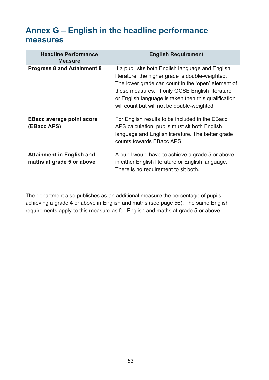# <span id="page-52-0"></span>**Annex G – English in the headline performance measures**

| <b>Headline Performance</b><br><b>Measure</b>                 | <b>English Requirement</b>                                                                                                                                                                                                                                                                                            |
|---------------------------------------------------------------|-----------------------------------------------------------------------------------------------------------------------------------------------------------------------------------------------------------------------------------------------------------------------------------------------------------------------|
| <b>Progress 8 and Attainment 8</b>                            | If a pupil sits both English language and English<br>literature, the higher grade is double-weighted.<br>The lower grade can count in the 'open' element of<br>these measures. If only GCSE English literature<br>or English language is taken then this qualification<br>will count but will not be double-weighted. |
| <b>EBacc average point score</b><br>(EBacc APS)               | For English results to be included in the EBacc<br>APS calculation, pupils must sit both English<br>language and English literature. The better grade<br>counts towards EBacc APS.                                                                                                                                    |
| <b>Attainment in English and</b><br>maths at grade 5 or above | A pupil would have to achieve a grade 5 or above<br>in either English literature or English language.<br>There is no requirement to sit both.                                                                                                                                                                         |

The department also publishes as an additional measure the percentage of pupils achieving a grade 4 or above in English and maths (see page 56). The same English requirements apply to this measure as for English and maths at grade 5 or above.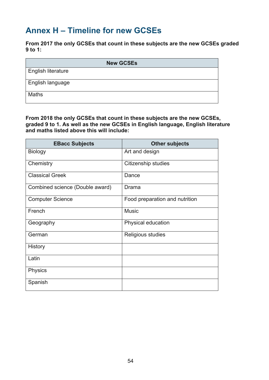## <span id="page-53-0"></span>**Annex H – Timeline for new GCSEs**

**From 2017 the only GCSEs that count in these subjects are the new GCSEs graded 9 to 1:** 

| <b>New GCSEs</b>          |
|---------------------------|
| <b>English literature</b> |
| English language          |
| <b>Maths</b>              |

**From 2018 the only GCSEs that count in these subjects are the new GCSEs, graded 9 to 1. As well as the new GCSEs in English language, English literature and maths listed above this will include:** 

| <b>EBacc Subjects</b>           | <b>Other subjects</b>          |
|---------------------------------|--------------------------------|
| <b>Biology</b>                  | Art and design                 |
| Chemistry                       | Citizenship studies            |
| <b>Classical Greek</b>          | Dance                          |
| Combined science (Double award) | Drama                          |
| <b>Computer Science</b>         | Food preparation and nutrition |
| French                          | <b>Music</b>                   |
| Geography                       | Physical education             |
| German                          | Religious studies              |
| History                         |                                |
| Latin                           |                                |
| Physics                         |                                |
| Spanish                         |                                |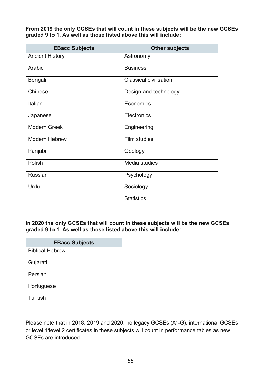**From 2019 the only GCSEs that will count in these subjects will be the new GCSEs graded 9 to 1. As well as those listed above this will include:** 

| <b>EBacc Subjects</b>  | <b>Other subjects</b>         |
|------------------------|-------------------------------|
| <b>Ancient History</b> | Astronomy                     |
| Arabic                 | <b>Business</b>               |
| Bengali                | <b>Classical civilisation</b> |
| Chinese                | Design and technology         |
| Italian                | Economics                     |
| Japanese               | Electronics                   |
| <b>Modern Greek</b>    | Engineering                   |
| <b>Modern Hebrew</b>   | Film studies                  |
| Panjabi                | Geology                       |
| Polish                 | Media studies                 |
| Russian                | Psychology                    |
| Urdu                   | Sociology                     |
|                        | <b>Statistics</b>             |

**In 2020 the only GCSEs that will count in these subjects will be the new GCSEs graded 9 to 1. As well as those listed above this will include:** 

| <b>EBacc Subjects</b>  |
|------------------------|
| <b>Biblical Hebrew</b> |
| Gujarati               |
| Persian                |
| Portuguese             |
| Turkish                |

Please note that in 2018, 2019 and 2020, no legacy GCSEs (A\*-G), international GCSEs or level 1/level 2 certificates in these subjects will count in performance tables as new GCSEs are introduced.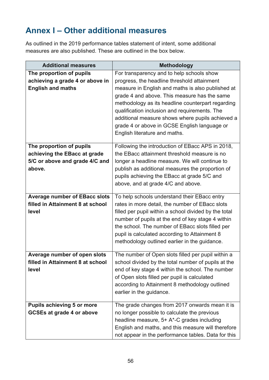# <span id="page-55-0"></span>**Annex I – Other additional measures**

As outlined in the 2019 performance tables statement of intent, some additional measures are also published. These are outlined in the box below.

| <b>Additional measures</b>                                                                           | <b>Methodology</b>                                                                                                                                                                                                                                                                                                                                                                                                                       |
|------------------------------------------------------------------------------------------------------|------------------------------------------------------------------------------------------------------------------------------------------------------------------------------------------------------------------------------------------------------------------------------------------------------------------------------------------------------------------------------------------------------------------------------------------|
| The proportion of pupils<br>achieving a grade 4 or above in<br><b>English and maths</b>              | For transparency and to help schools show<br>progress, the headline threshold attainment<br>measure in English and maths is also published at<br>grade 4 and above. This measure has the same<br>methodology as its headline counterpart regarding<br>qualification inclusion and requirements. The<br>additional measure shows where pupils achieved a<br>grade 4 or above in GCSE English language or<br>English literature and maths. |
| The proportion of pupils<br>achieving the EBacc at grade<br>5/C or above and grade 4/C and<br>above. | Following the introduction of EBacc APS in 2018,<br>the EBacc attainment threshold measure is no<br>longer a headline measure. We will continue to<br>publish as additional measures the proportion of<br>pupils achieving the EBacc at grade 5/C and<br>above, and at grade 4/C and above.                                                                                                                                              |
| <b>Average number of EBacc slots</b><br>filled in Attainment 8 at school<br>level                    | To help schools understand their EBacc entry<br>rates in more detail, the number of EBacc slots<br>filled per pupil within a school divided by the total<br>number of pupils at the end of key stage 4 within<br>the school. The number of EBacc slots filled per<br>pupil is calculated according to Attainment 8<br>methodology outlined earlier in the guidance.                                                                      |
| Average number of open slots<br>filled in Attainment 8 at school<br>level                            | The number of Open slots filled per pupil within a<br>school divided by the total number of pupils at the<br>end of key stage 4 within the school. The number<br>of Open slots filled per pupil is calculated<br>according to Attainment 8 methodology outlined<br>earlier in the guidance.                                                                                                                                              |
| <b>Pupils achieving 5 or more</b><br><b>GCSEs at grade 4 or above</b>                                | The grade changes from 2017 onwards mean it is<br>no longer possible to calculate the previous<br>headline measure, 5+ A*-C grades including<br>English and maths, and this measure will therefore<br>not appear in the performance tables. Data for this                                                                                                                                                                                |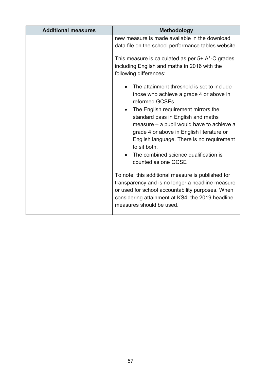| <b>Additional measures</b> | <b>Methodology</b>                                                                                                                                                                                                                                                                                                                                                                                                                                                                                                                                                                                                                                       |
|----------------------------|----------------------------------------------------------------------------------------------------------------------------------------------------------------------------------------------------------------------------------------------------------------------------------------------------------------------------------------------------------------------------------------------------------------------------------------------------------------------------------------------------------------------------------------------------------------------------------------------------------------------------------------------------------|
|                            | new measure is made available in the download<br>data file on the school performance tables website.<br>This measure is calculated as per $5+$ A*-C grades<br>including English and maths in 2016 with the<br>following differences:                                                                                                                                                                                                                                                                                                                                                                                                                     |
|                            | The attainment threshold is set to include<br>those who achieve a grade 4 or above in<br>reformed GCSEs<br>The English requirement mirrors the<br>standard pass in English and maths<br>measure – a pupil would have to achieve a<br>grade 4 or above in English literature or<br>English language. There is no requirement<br>to sit both.<br>The combined science qualification is<br>counted as one GCSE<br>To note, this additional measure is published for<br>transparency and is no longer a headline measure<br>or used for school accountability purposes. When<br>considering attainment at KS4, the 2019 headline<br>measures should be used. |